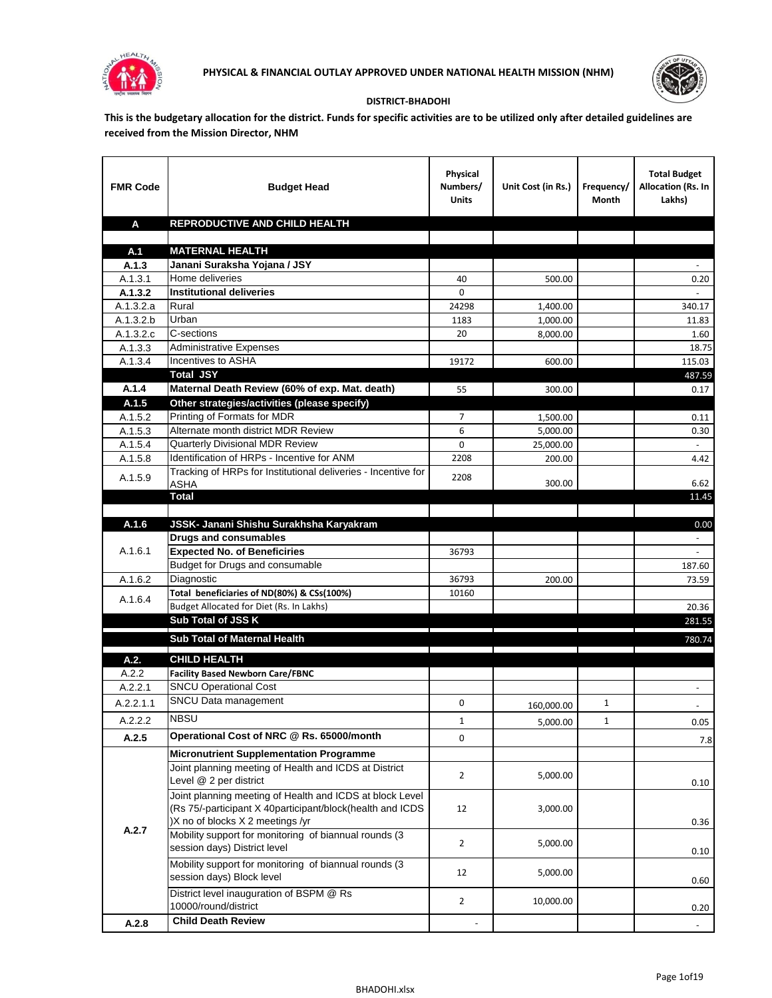



## **DISTRICT-BHADOHI**

**This is the budgetary allocation for the district. Funds for specific activities are to be utilized only after detailed guidelines are received from the Mission Director, NHM**

| <b>FMR Code</b> | <b>Budget Head</b>                                                                                                                                        | Physical<br>Numbers/<br><b>Units</b> | Unit Cost (in Rs.) | Frequency/<br>Month | <b>Total Budget</b><br>Allocation (Rs. In<br>Lakhs) |
|-----------------|-----------------------------------------------------------------------------------------------------------------------------------------------------------|--------------------------------------|--------------------|---------------------|-----------------------------------------------------|
| A               | REPRODUCTIVE AND CHILD HEALTH                                                                                                                             |                                      |                    |                     |                                                     |
|                 |                                                                                                                                                           |                                      |                    |                     |                                                     |
| A.1<br>A.1.3    | <b>MATERNAL HEALTH</b><br>Janani Suraksha Yojana / JSY                                                                                                    |                                      |                    |                     |                                                     |
| A.1.3.1         | Home deliveries                                                                                                                                           | 40                                   | 500.00             |                     | 0.20                                                |
| A.1.3.2         | <b>Institutional deliveries</b>                                                                                                                           | 0                                    |                    |                     |                                                     |
| A.1.3.2.a       | Rural                                                                                                                                                     | 24298                                | 1,400.00           |                     | 340.17                                              |
| A.1.3.2.b       | Urban                                                                                                                                                     | 1183                                 | 1,000.00           |                     | 11.83                                               |
| A.1.3.2.c       | C-sections                                                                                                                                                | 20                                   | 8,000.00           |                     | 1.60                                                |
| A.1.3.3         | <b>Administrative Expenses</b>                                                                                                                            |                                      |                    |                     | 18.75                                               |
| A.1.3.4         | Incentives to ASHA                                                                                                                                        | 19172                                | 600.00             |                     | 115.03                                              |
|                 | <b>Total JSY</b>                                                                                                                                          |                                      |                    |                     | 487.59                                              |
| A.1.4           | Maternal Death Review (60% of exp. Mat. death)                                                                                                            | 55                                   | 300.00             |                     | 0.17                                                |
| A.1.5           | Other strategies/activities (please specify)                                                                                                              |                                      |                    |                     |                                                     |
| A.1.5.2         | Printing of Formats for MDR                                                                                                                               | 7                                    | 1,500.00           |                     | 0.11                                                |
| A.1.5.3         | Alternate month district MDR Review                                                                                                                       | 6                                    | 5.000.00           |                     | 0.30                                                |
| A.1.5.4         | <b>Quarterly Divisional MDR Review</b>                                                                                                                    | 0                                    | 25,000.00          |                     |                                                     |
| A.1.5.8         | Identification of HRPs - Incentive for ANM                                                                                                                | 2208                                 | 200.00             |                     | 4.42                                                |
| A.1.5.9         | Tracking of HRPs for Institutional deliveries - Incentive for<br>ASHA                                                                                     | 2208                                 | 300.00             |                     | 6.62                                                |
|                 | <b>Total</b>                                                                                                                                              |                                      |                    |                     | 11.45                                               |
|                 |                                                                                                                                                           |                                      |                    |                     |                                                     |
| A.1.6           | JSSK- Janani Shishu Surakhsha Karyakram                                                                                                                   |                                      |                    |                     | 0.00                                                |
|                 | <b>Drugs and consumables</b>                                                                                                                              |                                      |                    |                     | $\sim$                                              |
| A.1.6.1         | <b>Expected No. of Beneficiries</b>                                                                                                                       | 36793                                |                    |                     |                                                     |
|                 | Budget for Drugs and consumable                                                                                                                           |                                      |                    |                     | 187.60                                              |
| A.1.6.2         | Diagnostic                                                                                                                                                | 36793                                | 200.00             |                     | 73.59                                               |
| A.1.6.4         | Total beneficiaries of ND(80%) & CSs(100%)<br>Budget Allocated for Diet (Rs. In Lakhs)                                                                    | 10160                                |                    |                     | 20.36                                               |
|                 | Sub Total of JSS K                                                                                                                                        |                                      |                    |                     | 281.55                                              |
|                 |                                                                                                                                                           |                                      |                    |                     |                                                     |
|                 | Sub Total of Maternal Health                                                                                                                              |                                      |                    |                     | 780.74                                              |
| A.2.            | <b>CHILD HEALTH</b>                                                                                                                                       |                                      |                    |                     |                                                     |
| A.2.2           | <b>Facility Based Newborn Care/FBNC</b>                                                                                                                   |                                      |                    |                     |                                                     |
| A.2.2.1         | <b>SNCU Operational Cost</b>                                                                                                                              |                                      |                    |                     |                                                     |
| A.2.2.1.1       | SNCU Data management                                                                                                                                      | 0                                    | 160,000.00         | 1                   |                                                     |
| A.2.2.2         | <b>NBSU</b>                                                                                                                                               | $\mathbf{1}$                         | 5,000.00           | $\mathbf{1}$        | 0.05                                                |
| A.2.5           | Operational Cost of NRC @ Rs. 65000/month                                                                                                                 | 0                                    |                    |                     | 7.8                                                 |
|                 | <b>Micronutrient Supplementation Programme</b>                                                                                                            |                                      |                    |                     |                                                     |
|                 | Joint planning meeting of Health and ICDS at District<br>Level @ 2 per district                                                                           | $\overline{2}$                       | 5,000.00           |                     |                                                     |
|                 | Joint planning meeting of Health and ICDS at block Level<br>(Rs 75/-participant X 40participant/block(health and ICDS<br>)X no of blocks X 2 meetings /yr | 12                                   | 3,000.00           |                     | 0.10<br>0.36                                        |
| A.2.7           | Mobility support for monitoring of biannual rounds (3<br>session days) District level                                                                     | $\overline{2}$                       | 5,000.00           |                     | 0.10                                                |
|                 | Mobility support for monitoring of biannual rounds (3<br>session days) Block level                                                                        | 12                                   | 5,000.00           |                     | 0.60                                                |
|                 | District level inauguration of BSPM @ Rs<br>10000/round/district                                                                                          | $\overline{2}$                       | 10,000.00          |                     | 0.20                                                |
| A.2.8           | <b>Child Death Review</b>                                                                                                                                 |                                      |                    |                     |                                                     |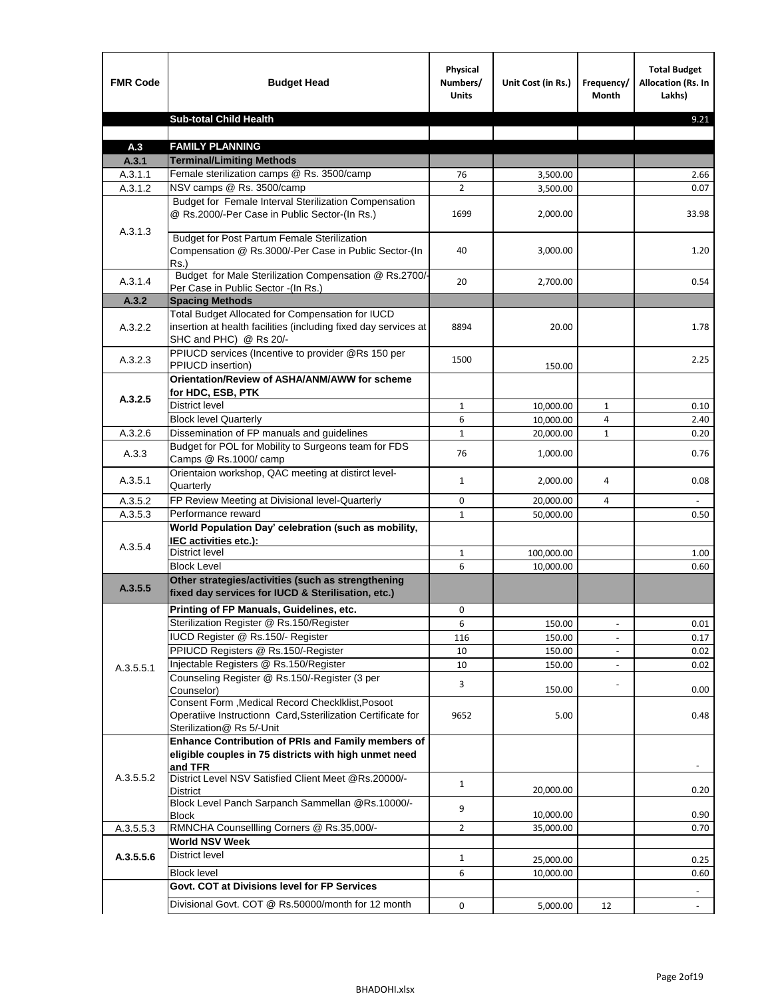| <b>FMR Code</b> | <b>Budget Head</b>                                                                                                                             | Physical<br>Numbers/<br><b>Units</b> | Unit Cost (in Rs.) | Frequency/<br><b>Month</b> | <b>Total Budget</b><br>Allocation (Rs. In<br>Lakhs) |
|-----------------|------------------------------------------------------------------------------------------------------------------------------------------------|--------------------------------------|--------------------|----------------------------|-----------------------------------------------------|
|                 | <b>Sub-total Child Health</b>                                                                                                                  |                                      |                    |                            | 9.21                                                |
|                 |                                                                                                                                                |                                      |                    |                            |                                                     |
| A.3             | <b>FAMILY PLANNING</b>                                                                                                                         |                                      |                    |                            |                                                     |
| A.3.1           | <b>Terminal/Limiting Methods</b>                                                                                                               |                                      |                    |                            |                                                     |
| A.3.1.1         | Female sterilization camps @ Rs. 3500/camp                                                                                                     | 76                                   | 3,500.00           |                            | 2.66                                                |
| A.3.1.2         | NSV camps @ Rs. 3500/camp<br>Budget for Female Interval Sterilization Compensation                                                             | $\overline{2}$                       | 3,500.00           |                            | 0.07                                                |
| A.3.1.3         | @ Rs.2000/-Per Case in Public Sector-(In Rs.)                                                                                                  | 1699                                 | 2,000.00           |                            | 33.98                                               |
|                 | <b>Budget for Post Partum Female Sterilization</b><br>Compensation @ Rs.3000/-Per Case in Public Sector-(In<br>$Rs.$ )                         | 40                                   | 3,000.00           |                            | 1.20                                                |
| A.3.1.4         | Budget for Male Sterilization Compensation @ Rs.2700/-<br>Per Case in Public Sector -(In Rs.)                                                  | 20                                   | 2,700.00           |                            | 0.54                                                |
| A.3.2           | <b>Spacing Methods</b>                                                                                                                         |                                      |                    |                            |                                                     |
| A.3.2.2         | Total Budget Allocated for Compensation for IUCD<br>insertion at health facilities (including fixed day services at<br>SHC and PHC) @ Rs 20/-  | 8894                                 | 20.00              |                            | 1.78                                                |
| A.3.2.3         | PPIUCD services (Incentive to provider @Rs 150 per<br>PPIUCD insertion)                                                                        | 1500                                 | 150.00             |                            | 2.25                                                |
|                 | Orientation/Review of ASHA/ANM/AWW for scheme<br>for HDC, ESB, PTK                                                                             |                                      |                    |                            |                                                     |
| A.3.2.5         | <b>District level</b>                                                                                                                          | $\mathbf{1}$                         | 10,000.00          | $\mathbf{1}$               | 0.10                                                |
|                 | <b>Block level Quarterly</b>                                                                                                                   | 6                                    | 10,000.00          | 4                          | 2.40                                                |
| A.3.2.6         | Dissemination of FP manuals and guidelines                                                                                                     | $\mathbf{1}$                         | 20,000.00          | $\mathbf{1}$               | 0.20                                                |
| A.3.3           | Budget for POL for Mobility to Surgeons team for FDS<br>Camps @ Rs.1000/ camp                                                                  | 76                                   | 1,000.00           |                            | 0.76                                                |
| A.3.5.1         | Orientaion workshop, QAC meeting at distirct level-<br>Quarterly                                                                               | $\mathbf{1}$                         | 2,000.00           | 4                          | 0.08                                                |
| A.3.5.2         | FP Review Meeting at Divisional level-Quarterly                                                                                                | 0                                    | 20,000.00          | 4                          |                                                     |
| A.3.5.3         | Performance reward                                                                                                                             | $\mathbf{1}$                         | 50,000.00          |                            | 0.50                                                |
| A.3.5.4         | World Population Day' celebration (such as mobility,<br>IEC activities etc.):                                                                  |                                      |                    |                            |                                                     |
|                 | District level                                                                                                                                 | $\mathbf{1}$                         | 100,000.00         |                            | 1.00                                                |
|                 | <b>Block Level</b>                                                                                                                             | 6                                    | 10.000.00          |                            | 0.60                                                |
| A.3.5.5         | Other strategies/activities (such as strengthening<br>fixed day services for IUCD & Sterilisation, etc.)                                       |                                      |                    |                            |                                                     |
|                 | Printing of FP Manuals, Guidelines, etc.                                                                                                       | 0                                    |                    |                            |                                                     |
|                 | Sterilization Register @ Rs.150/Register                                                                                                       | 6                                    | 150.00             | $\centerdot$               | 0.01                                                |
|                 | IUCD Register @ Rs.150/- Register                                                                                                              | 116                                  | 150.00             |                            | 0.17                                                |
|                 | PPIUCD Registers @ Rs.150/-Register                                                                                                            | 10                                   | 150.00             |                            | 0.02                                                |
| A.3.5.5.1       | Injectable Registers @ Rs.150/Register                                                                                                         | 10                                   | 150.00             |                            | 0.02                                                |
|                 | Counseling Register @ Rs.150/-Register (3 per<br>Counselor)                                                                                    | 3                                    | 150.00             |                            | 0.00                                                |
|                 | Consent Form , Medical Record CheckIklist, Posoot<br>Operatiive Instructionn Card, Ssterilization Certificate for<br>Sterilization@ Rs 5/-Unit | 9652                                 | 5.00               |                            | 0.48                                                |
|                 | Enhance Contribution of PRIs and Family members of<br>eligible couples in 75 districts with high unmet need<br>and TFR                         |                                      |                    |                            |                                                     |
| A.3.5.5.2       | District Level NSV Satisfied Client Meet @Rs.20000/-<br>District                                                                               | $\mathbf{1}$                         | 20,000.00          |                            | 0.20                                                |
|                 | Block Level Panch Sarpanch Sammellan @Rs.10000/-<br><b>Block</b>                                                                               | 9                                    | 10,000.00          |                            | 0.90                                                |
| A.3.5.5.3       | RMNCHA Counsellling Corners @ Rs.35,000/-                                                                                                      | $\overline{2}$                       | 35,000.00          |                            | 0.70                                                |
|                 | <b>World NSV Week</b>                                                                                                                          |                                      |                    |                            |                                                     |
| A.3.5.5.6       | <b>District level</b>                                                                                                                          | $\mathbf{1}$                         | 25,000.00          |                            | 0.25                                                |
|                 | <b>Block level</b>                                                                                                                             | 6                                    | 10,000.00          |                            | 0.60                                                |
|                 | Govt. COT at Divisions level for FP Services                                                                                                   |                                      |                    |                            |                                                     |
|                 | Divisional Govt. COT @ Rs.50000/month for 12 month                                                                                             | 0                                    | 5,000.00           | 12                         | $\omega$                                            |
|                 |                                                                                                                                                |                                      |                    |                            |                                                     |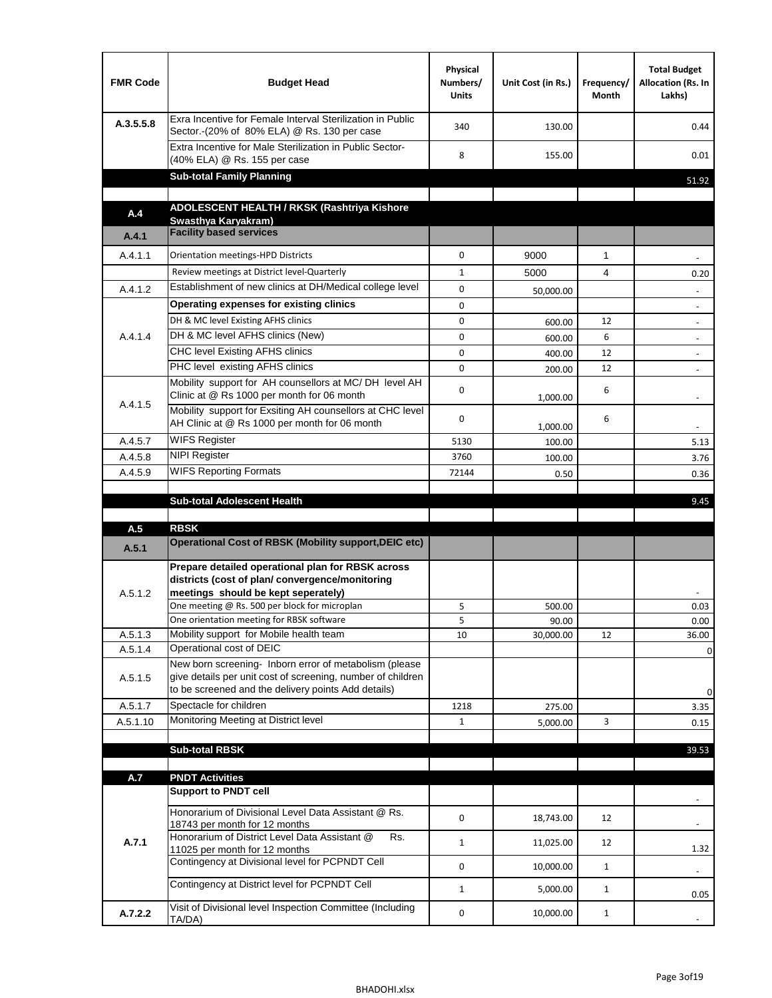| <b>FMR Code</b> | <b>Budget Head</b>                                                                                                                                                                          | Physical<br>Numbers/<br><b>Units</b> | Unit Cost (in Rs.) | Frequency/<br>Month | <b>Total Budget</b><br>Allocation (Rs. In<br>Lakhs) |
|-----------------|---------------------------------------------------------------------------------------------------------------------------------------------------------------------------------------------|--------------------------------------|--------------------|---------------------|-----------------------------------------------------|
| A.3.5.5.8       | Exra Incentive for Female Interval Sterilization in Public<br>Sector.-(20% of 80% ELA) @ Rs. 130 per case                                                                                   | 340                                  | 130.00             |                     | 0.44                                                |
|                 | Extra Incentive for Male Sterilization in Public Sector-<br>(40% ELA) @ Rs. 155 per case                                                                                                    | 8                                    | 155.00             |                     | 0.01                                                |
|                 | <b>Sub-total Family Planning</b>                                                                                                                                                            |                                      |                    |                     | 51.92                                               |
|                 | ADOLESCENT HEALTH / RKSK (Rashtriya Kishore                                                                                                                                                 |                                      |                    |                     |                                                     |
| A.4             | Swasthya Karyakram)                                                                                                                                                                         |                                      |                    |                     |                                                     |
| A.4.1           | <b>Facility based services</b>                                                                                                                                                              |                                      |                    |                     |                                                     |
| A.4.1.1         | Orientation meetings-HPD Districts                                                                                                                                                          | $\Omega$                             | 9000               | $\mathbf{1}$        |                                                     |
|                 | Review meetings at District level-Quarterly                                                                                                                                                 | $\mathbf{1}$                         | 5000               | 4                   | 0.20                                                |
| A.4.1.2         | Establishment of new clinics at DH/Medical college level                                                                                                                                    | 0                                    | 50,000.00          |                     |                                                     |
|                 | Operating expenses for existing clinics                                                                                                                                                     | 0                                    |                    |                     |                                                     |
|                 | DH & MC level Existing AFHS clinics                                                                                                                                                         | 0                                    | 600.00             | 12                  |                                                     |
| A.4.1.4         | DH & MC level AFHS clinics (New)                                                                                                                                                            | 0                                    | 600.00             | 6                   | $\overline{\phantom{a}}$                            |
|                 | CHC level Existing AFHS clinics                                                                                                                                                             | 0                                    | 400.00             | 12                  | $\overline{\phantom{a}}$                            |
|                 | PHC level existing AFHS clinics                                                                                                                                                             | $\Omega$                             | 200.00             | 12                  | $\blacksquare$                                      |
| A.4.1.5         | Mobility support for AH counsellors at MC/DH level AH<br>Clinic at @ Rs 1000 per month for 06 month                                                                                         | 0                                    | 1,000.00           | 6                   |                                                     |
|                 | Mobility support for Exsiting AH counsellors at CHC level<br>AH Clinic at @ Rs 1000 per month for 06 month                                                                                  | 0                                    | 1,000.00           | 6                   |                                                     |
| A.4.5.7         | <b>WIFS Register</b>                                                                                                                                                                        | 5130                                 | 100.00             |                     | 5.13                                                |
| A.4.5.8         | <b>NIPI Register</b>                                                                                                                                                                        | 3760                                 | 100.00             |                     | 3.76                                                |
| A.4.5.9         | <b>WIFS Reporting Formats</b>                                                                                                                                                               | 72144                                | 0.50               |                     | 0.36                                                |
|                 | <b>Sub-total Adolescent Health</b>                                                                                                                                                          |                                      |                    |                     | 9.45                                                |
| A.5             | <b>RBSK</b>                                                                                                                                                                                 |                                      |                    |                     |                                                     |
| A.5.1           | <b>Operational Cost of RBSK (Mobility support, DEIC etc)</b>                                                                                                                                |                                      |                    |                     |                                                     |
| A.5.1.2         | Prepare detailed operational plan for RBSK across<br>districts (cost of plan/convergence/monitoring<br>meetings should be kept seperately)<br>One meeting @ Rs. 500 per block for microplan | 5                                    | 500.00             |                     | 0.03                                                |
|                 | One orientation meeting for RBSK software                                                                                                                                                   | 5                                    | 90.00              |                     | 0.00                                                |
| A.5.1.3         | Mobility support for Mobile health team                                                                                                                                                     | 10                                   | 30,000.00          | 12                  | 36.00                                               |
| A.5.1.4         | Operational cost of DEIC                                                                                                                                                                    |                                      |                    |                     | 0                                                   |
| A.5.1.5         | New born screening- Inborn error of metabolism (please<br>give details per unit cost of screening, number of children<br>to be screened and the delivery points Add details)                |                                      |                    |                     | 0                                                   |
| A.5.1.7         | Spectacle for children                                                                                                                                                                      | 1218                                 | 275.00             |                     | 3.35                                                |
| A.5.1.10        | Monitoring Meeting at District level                                                                                                                                                        | $\mathbf{1}$                         | 5,000.00           | 3                   | 0.15                                                |
|                 |                                                                                                                                                                                             |                                      |                    |                     |                                                     |
|                 | <b>Sub-total RBSK</b>                                                                                                                                                                       |                                      |                    |                     | 39.53                                               |
| A.7             | <b>PNDT Activities</b>                                                                                                                                                                      |                                      |                    |                     |                                                     |
|                 | <b>Support to PNDT cell</b>                                                                                                                                                                 |                                      |                    |                     |                                                     |
|                 | Honorarium of Divisional Level Data Assistant @ Rs.<br>18743 per month for 12 months                                                                                                        | 0                                    | 18,743.00          | 12                  |                                                     |
| A.7.1           | Honorarium of District Level Data Assistant @<br>Rs.                                                                                                                                        | $\mathbf{1}$                         | 11,025.00          | 12                  |                                                     |
|                 | 11025 per month for 12 months<br>Contingency at Divisional level for PCPNDT Cell                                                                                                            | 0                                    | 10,000.00          | $\mathbf{1}$        | 1.32<br>$\overline{\phantom{a}}$                    |
|                 | Contingency at District level for PCPNDT Cell                                                                                                                                               | $\mathbf{1}$                         | 5,000.00           | $\mathbf{1}$        | 0.05                                                |
| A.7.2.2         | Visit of Divisional level Inspection Committee (Including<br>TA/DA)                                                                                                                         | 0                                    | 10,000.00          | $\mathbf{1}$        |                                                     |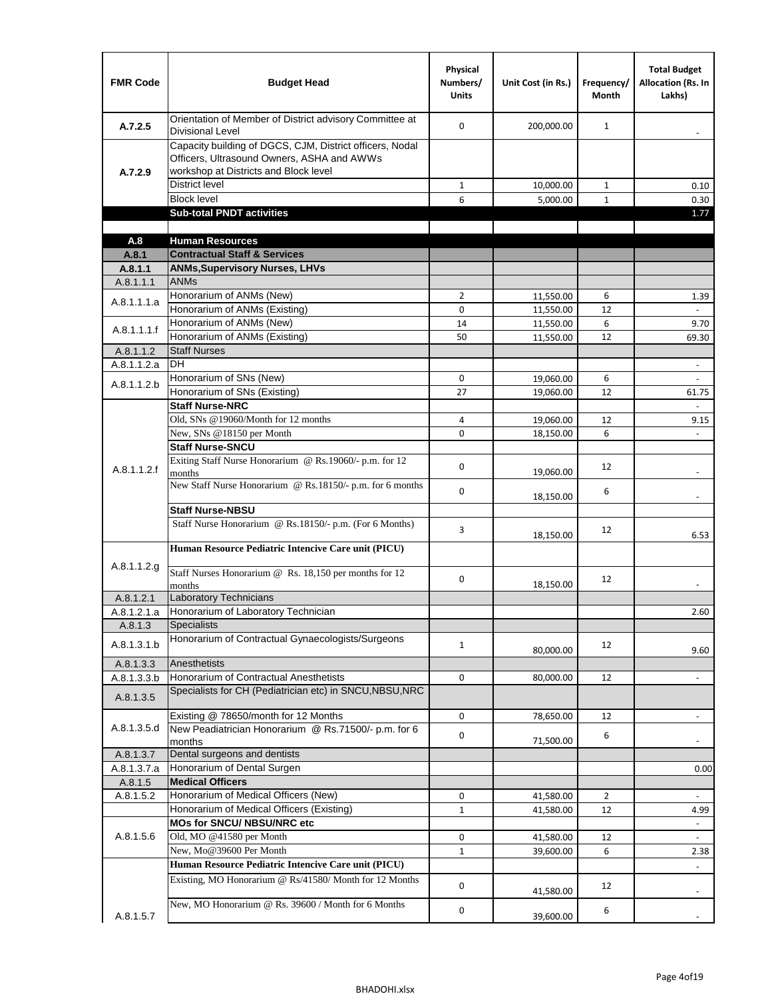| <b>FMR Code</b> | <b>Budget Head</b>                                                                                                                              | Physical<br>Numbers/<br><b>Units</b> | Unit Cost (in Rs.) | Frequency/<br><b>Month</b> | <b>Total Budget</b><br>Allocation (Rs. In<br>Lakhs) |
|-----------------|-------------------------------------------------------------------------------------------------------------------------------------------------|--------------------------------------|--------------------|----------------------------|-----------------------------------------------------|
| A.7.2.5         | Orientation of Member of District advisory Committee at<br>Divisional Level                                                                     | $\Omega$                             | 200,000.00         | $\mathbf{1}$               | $\overline{\phantom{a}}$                            |
| A.7.2.9         | Capacity building of DGCS, CJM, District officers, Nodal<br>Officers, Ultrasound Owners, ASHA and AWWs<br>workshop at Districts and Block level |                                      |                    |                            |                                                     |
|                 | <b>District level</b>                                                                                                                           | 1                                    | 10,000.00          | $\mathbf{1}$               | 0.10                                                |
|                 | <b>Block level</b>                                                                                                                              | 6                                    | 5,000.00           | $\mathbf{1}$               | 0.30                                                |
|                 | <b>Sub-total PNDT activities</b>                                                                                                                |                                      |                    |                            | 1.77                                                |
|                 |                                                                                                                                                 |                                      |                    |                            |                                                     |
| A.8             | <b>Human Resources</b>                                                                                                                          |                                      |                    |                            |                                                     |
| A.8.1           | <b>Contractual Staff &amp; Services</b>                                                                                                         |                                      |                    |                            |                                                     |
| A.8.1.1         | <b>ANMs, Supervisory Nurses, LHVs</b>                                                                                                           |                                      |                    |                            |                                                     |
| A.8.1.1.1       | <b>ANMs</b>                                                                                                                                     |                                      |                    |                            |                                                     |
| A.8.1.1.1.a     | Honorarium of ANMs (New)                                                                                                                        | $\overline{2}$                       | 11,550.00          | 6                          | 1.39                                                |
|                 | Honorarium of ANMs (Existing)                                                                                                                   | 0                                    | 11,550.00          | 12                         |                                                     |
| A.8.1.1.1.f     | Honorarium of ANMs (New)                                                                                                                        | 14                                   | 11,550.00          | 6                          | 9.70                                                |
|                 | Honorarium of ANMs (Existing)                                                                                                                   | 50                                   | 11,550.00          | 12                         | 69.30                                               |
| A.8.1.1.2       | <b>Staff Nurses</b>                                                                                                                             |                                      |                    |                            |                                                     |
| A.8.1.1.2.a     | <b>DH</b>                                                                                                                                       |                                      |                    |                            | $\frac{1}{2}$                                       |
| A.8.1.1.2.b     | Honorarium of SNs (New)                                                                                                                         | 0                                    | 19,060.00          | 6                          |                                                     |
|                 | Honorarium of SNs (Existing)                                                                                                                    | 27                                   | 19,060.00          | 12                         | 61.75                                               |
|                 | <b>Staff Nurse-NRC</b>                                                                                                                          |                                      |                    |                            |                                                     |
|                 | Old, SNs @19060/Month for 12 months                                                                                                             | 4                                    | 19,060.00          | 12                         | 9.15                                                |
|                 | New, SNs @18150 per Month                                                                                                                       | 0                                    | 18,150.00          | 6                          |                                                     |
|                 | <b>Staff Nurse-SNCU</b>                                                                                                                         |                                      |                    |                            |                                                     |
| A.8.1.1.2.f     | Exiting Staff Nurse Honorarium @ Rs.19060/- p.m. for 12<br>months                                                                               | 0                                    | 19,060.00          | 12                         |                                                     |
|                 | New Staff Nurse Honorarium @ Rs.18150/- p.m. for 6 months                                                                                       | 0                                    | 18,150.00          | 6                          |                                                     |
|                 | <b>Staff Nurse-NBSU</b>                                                                                                                         |                                      |                    |                            |                                                     |
|                 | Staff Nurse Honorarium @ Rs.18150/- p.m. (For 6 Months)                                                                                         | 3                                    | 18,150.00          | 12                         | 6.53                                                |
|                 | Human Resource Pediatric Intencive Care unit (PICU)                                                                                             |                                      |                    |                            |                                                     |
| A.8.1.1.2.g     | Staff Nurses Honorarium @ $\overline{Rs. 18,150}$ per months for 12                                                                             | 0                                    |                    | 12                         |                                                     |
|                 | months                                                                                                                                          |                                      | 18,150.00          |                            |                                                     |
| A.8.1.2.1       | Laboratory Technicians                                                                                                                          |                                      |                    |                            |                                                     |
| A.8.1.2.1.a     | Honorarium of Laboratory Technician<br><b>Specialists</b>                                                                                       |                                      |                    |                            | 2.60                                                |
| A.8.1.3         | Honorarium of Contractual Gynaecologists/Surgeons                                                                                               |                                      |                    |                            |                                                     |
| A.8.1.3.1.b     |                                                                                                                                                 | $\mathbf{1}$                         | 80,000.00          | 12                         | 9.60                                                |
| A.8.1.3.3       | Anesthetists                                                                                                                                    |                                      |                    |                            |                                                     |
| A.8.1.3.3.b     | Honorarium of Contractual Anesthetists                                                                                                          | 0                                    | 80,000.00          | 12                         | $\overline{\phantom{a}}$                            |
| A.8.1.3.5       | Specialists for CH (Pediatrician etc) in SNCU, NBSU, NRC                                                                                        |                                      |                    |                            |                                                     |
|                 | Existing @ 78650/month for 12 Months                                                                                                            | 0                                    | 78,650.00          | 12                         | $\blacksquare$                                      |
| A.8.1.3.5.d     | New Peadiatrician Honorarium @ Rs.71500/- p.m. for 6<br>months                                                                                  | 0                                    | 71,500.00          | 6                          |                                                     |
| A.8.1.3.7       | Dental surgeons and dentists                                                                                                                    |                                      |                    |                            |                                                     |
| A.8.1.3.7.a     | Honorarium of Dental Surgen                                                                                                                     |                                      |                    |                            | 0.00                                                |
| A.8.1.5         | <b>Medical Officers</b>                                                                                                                         |                                      |                    |                            |                                                     |
| A.8.1.5.2       | Honorarium of Medical Officers (New)                                                                                                            | 0                                    | 41,580.00          | $\overline{2}$             | $\frac{1}{2}$                                       |
|                 | Honorarium of Medical Officers (Existing)                                                                                                       | $\mathbf{1}$                         | 41,580.00          | 12                         | 4.99                                                |
|                 | MOs for SNCU/ NBSU/NRC etc                                                                                                                      |                                      |                    |                            |                                                     |
| A.8.1.5.6       | Old, MO @41580 per Month                                                                                                                        | 0                                    | 41,580.00          | 12                         | $\blacksquare$                                      |
|                 | New, Mo@39600 Per Month                                                                                                                         | $\mathbf{1}$                         | 39,600.00          | 6                          | 2.38                                                |
|                 | Human Resource Pediatric Intencive Care unit (PICU)                                                                                             |                                      |                    |                            |                                                     |
|                 | Existing, MO Honorarium @ Rs/41580/ Month for 12 Months                                                                                         | $\mathbf 0$                          | 41,580.00          | 12                         |                                                     |
|                 | New, MO Honorarium @ Rs. 39600 / Month for 6 Months                                                                                             | 0                                    |                    | 6                          |                                                     |
| A.8.1.5.7       |                                                                                                                                                 |                                      | 39,600.00          |                            |                                                     |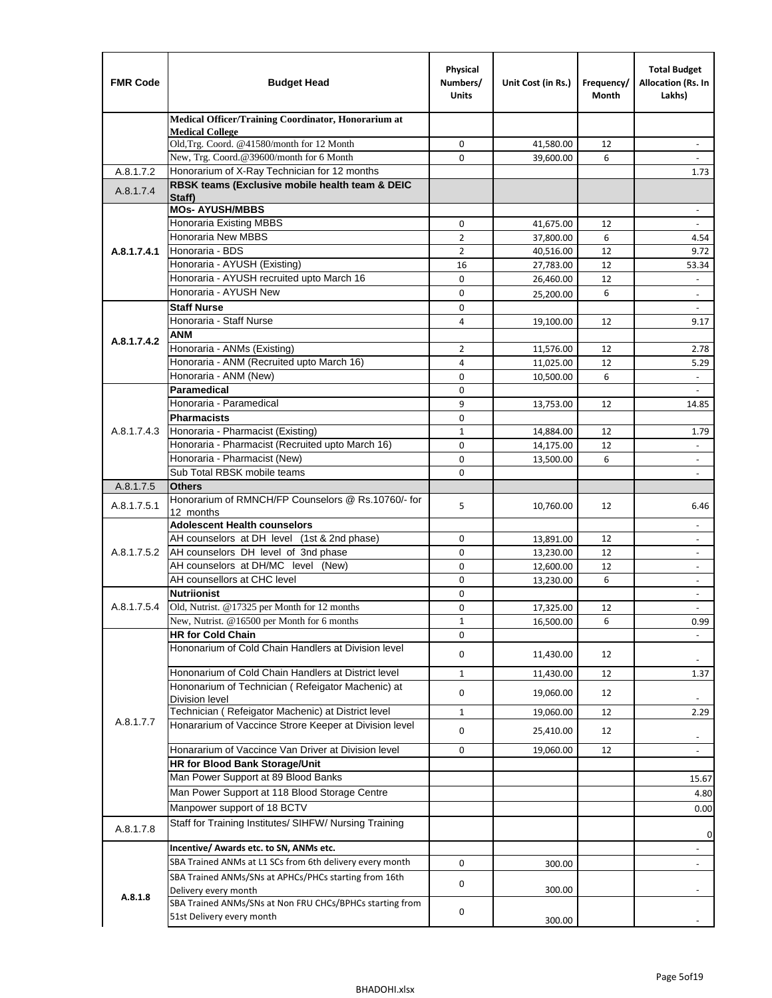| <b>FMR Code</b> | <b>Budget Head</b>                                                          | Physical<br>Numbers/<br><b>Units</b> | Unit Cost (in Rs.) | Frequency/<br>Month | <b>Total Budget</b><br>Allocation (Rs. In<br>Lakhs) |
|-----------------|-----------------------------------------------------------------------------|--------------------------------------|--------------------|---------------------|-----------------------------------------------------|
|                 | Medical Officer/Training Coordinator, Honorarium at                         |                                      |                    |                     |                                                     |
|                 | <b>Medical College</b><br>Old, Trg. Coord. @41580/month for 12 Month        | $\mathbf 0$                          | 41,580.00          | 12                  | $\overline{\phantom{a}}$                            |
|                 | New, Trg. Coord.@39600/month for 6 Month                                    | $\Omega$                             | 39,600.00          | 6                   |                                                     |
| A.8.1.7.2       | Honorarium of X-Ray Technician for 12 months                                |                                      |                    |                     | 1.73                                                |
| A.8.1.7.4       | RBSK teams (Exclusive mobile health team & DEIC                             |                                      |                    |                     |                                                     |
|                 | Staff)<br><b>MOs- AYUSH/MBBS</b>                                            |                                      |                    |                     |                                                     |
|                 | <b>Honoraria Existing MBBS</b>                                              | $\mathbf 0$                          | 41,675.00          | 12                  | $\blacksquare$                                      |
|                 | Honoraria New MBBS                                                          | $\overline{2}$                       | 37,800.00          | 6                   | 4.54                                                |
| A.8.1.7.4.1     | Honoraria - BDS                                                             | $\overline{2}$                       | 40,516.00          | 12                  | 9.72                                                |
|                 | Honoraria - AYUSH (Existing)                                                | 16                                   | 27,783.00          | 12                  | 53.34                                               |
|                 | Honoraria - AYUSH recruited upto March 16                                   | $\mathbf 0$                          | 26,460.00          | 12                  |                                                     |
|                 | Honoraria - AYUSH New                                                       | $\mathbf 0$                          | 25,200.00          | 6                   | $\overline{\phantom{a}}$                            |
|                 | <b>Staff Nurse</b>                                                          | $\Omega$                             |                    |                     |                                                     |
|                 | Honoraria - Staff Nurse                                                     | 4                                    | 19,100.00          | 12                  | 9.17                                                |
| A.8.1.7.4.2     | <b>ANM</b>                                                                  |                                      |                    |                     |                                                     |
|                 | Honoraria - ANMs (Existing)                                                 | 2                                    | 11,576.00          | 12                  | 2.78                                                |
|                 | Honoraria - ANM (Recruited upto March 16)                                   | 4                                    | 11,025.00          | 12                  | 5.29                                                |
|                 | Honoraria - ANM (New)<br>Paramedical                                        | 0                                    | 10,500.00          | 6                   |                                                     |
|                 | Honoraria - Paramedical                                                     | $\mathbf 0$<br>9                     |                    |                     | $\blacksquare$                                      |
|                 | <b>Pharmacists</b>                                                          | 0                                    | 13,753.00          | 12                  | 14.85                                               |
| A.8.1.7.4.3     | Honoraria - Pharmacist (Existing)                                           | $\mathbf{1}$                         | 14,884.00          | 12                  | 1.79                                                |
|                 | Honoraria - Pharmacist (Recruited upto March 16)                            | 0                                    | 14,175.00          | 12                  | $\blacksquare$                                      |
|                 | Honoraria - Pharmacist (New)                                                | $\mathbf 0$                          | 13,500.00          | 6                   | ÷,                                                  |
|                 | Sub Total RBSK mobile teams                                                 | $\Omega$                             |                    |                     | $\overline{\phantom{a}}$                            |
| A.8.1.7.5       | <b>Others</b>                                                               |                                      |                    |                     |                                                     |
|                 | Honorarium of RMNCH/FP Counselors @ Rs.10760/- for                          |                                      |                    |                     |                                                     |
| A.8.1.7.5.1     | 12 months                                                                   | 5                                    | 10,760.00          | 12                  | 6.46                                                |
|                 | <b>Adolescent Health counselors</b>                                         |                                      |                    |                     | $\overline{\phantom{a}}$                            |
|                 | AH counselors at DH level (1st & 2nd phase)                                 | 0                                    | 13,891.00          | 12                  |                                                     |
| A.8.1.7.5.2     | AH counselors DH level of 3nd phase                                         | $\mathbf 0$                          | 13,230.00          | 12                  | $\overline{\phantom{a}}$                            |
|                 | AH counselors at DH/MC level (New)                                          | 0                                    | 12,600.00          | 12                  | $\blacksquare$                                      |
|                 | AH counsellors at CHC level                                                 | $\mathbf 0$                          | 13,230.00          | 6                   | $\overline{\phantom{a}}$                            |
|                 | <b>Nutriionist</b>                                                          | 0                                    |                    |                     | $\overline{\phantom{a}}$                            |
| A.8.1.7.5.4     | Old, Nutrist. @17325 per Month for 12 months                                | 0                                    | 17,325.00          | 12                  | $\overline{\phantom{a}}$                            |
|                 | New, Nutrist. $@16500$ per Month for 6 months<br><b>HR for Cold Chain</b>   | 1<br>0                               | 16,500.00          | 6                   | 0.99                                                |
|                 | Hononarium of Cold Chain Handlers at Division level                         |                                      |                    |                     |                                                     |
|                 |                                                                             | 0                                    | 11,430.00          | 12                  |                                                     |
|                 | Hononarium of Cold Chain Handlers at District level                         | $\mathbf{1}$                         | 11,430.00          | 12                  | 1.37                                                |
|                 | Hononarium of Technician (Refeigator Machenic) at                           | 0                                    | 19,060.00          | 12                  |                                                     |
|                 | <b>Division level</b><br>Technician (Refeigator Machenic) at District level | $1\,$                                | 19,060.00          | 12                  | 2.29                                                |
| A.8.1.7.7       | Honararium of Vaccince Strore Keeper at Division level                      |                                      |                    |                     |                                                     |
|                 |                                                                             | 0                                    | 25,410.00          | 12                  | $\overline{\phantom{a}}$                            |
|                 | Honararium of Vaccince Van Driver at Division level                         | 0                                    | 19,060.00          | 12                  | $\overline{\phantom{a}}$                            |
|                 | <b>HR for Blood Bank Storage/Unit</b>                                       |                                      |                    |                     |                                                     |
|                 | Man Power Support at 89 Blood Banks                                         |                                      |                    |                     | 15.67                                               |
|                 | Man Power Support at 118 Blood Storage Centre                               |                                      |                    |                     | 4.80                                                |
|                 | Manpower support of 18 BCTV                                                 |                                      |                    |                     | 0.00                                                |
| A.8.1.7.8       | Staff for Training Institutes/ SIHFW/ Nursing Training                      |                                      |                    |                     | 0                                                   |
|                 | Incentive/ Awards etc. to SN, ANMs etc.                                     |                                      |                    |                     | $\overline{\phantom{a}}$                            |
|                 | SBA Trained ANMs at L1 SCs from 6th delivery every month                    | 0                                    | 300.00             |                     | $\blacksquare$                                      |
|                 | SBA Trained ANMs/SNs at APHCs/PHCs starting from 16th                       | 0                                    |                    |                     |                                                     |
| A.8.1.8         | Delivery every month                                                        |                                      | 300.00             |                     |                                                     |
|                 | SBA Trained ANMs/SNs at Non FRU CHCs/BPHCs starting from                    | 0                                    |                    |                     |                                                     |
|                 | 51st Delivery every month                                                   |                                      | 300.00             |                     |                                                     |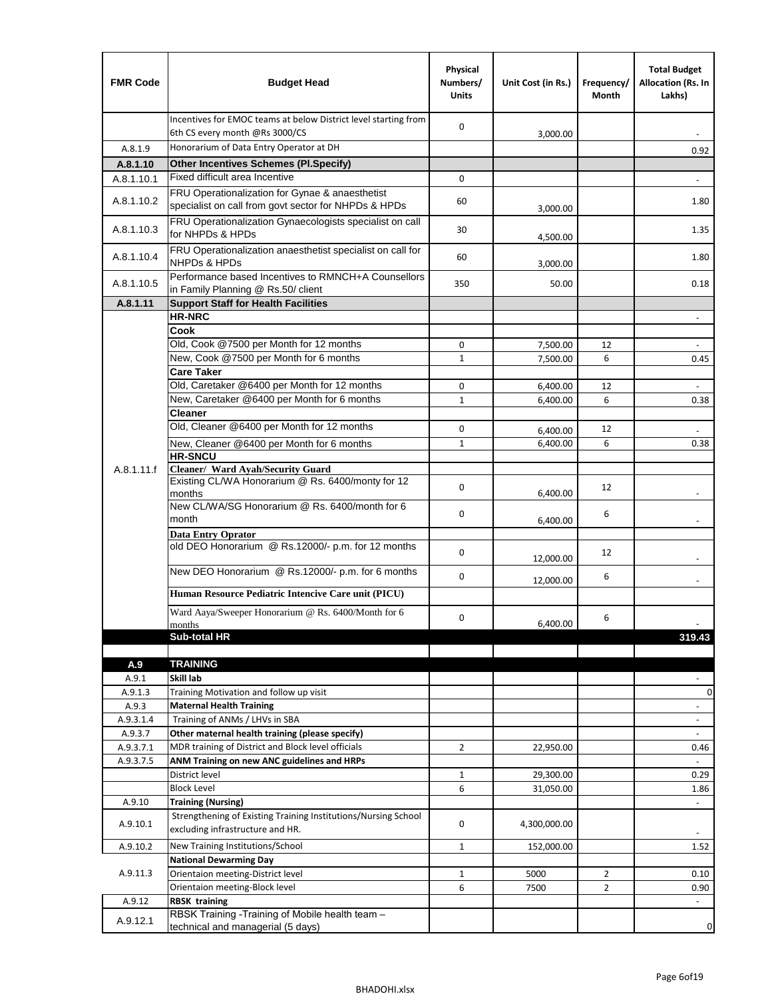| <b>FMR Code</b>    | <b>Budget Head</b>                                                                                      | Physical<br>Numbers/<br><b>Units</b> | Unit Cost (in Rs.)   | Frequency/<br>Month | <b>Total Budget</b><br>Allocation (Rs. In<br>Lakhs) |
|--------------------|---------------------------------------------------------------------------------------------------------|--------------------------------------|----------------------|---------------------|-----------------------------------------------------|
|                    | Incentives for EMOC teams at below District level starting from<br>6th CS every month @Rs 3000/CS       | 0                                    | 3,000.00             |                     |                                                     |
| A.8.1.9            | Honorarium of Data Entry Operator at DH                                                                 |                                      |                      |                     | 0.92                                                |
| A.8.1.10           | <b>Other Incentives Schemes (Pl.Specify)</b>                                                            |                                      |                      |                     |                                                     |
| A.8.1.10.1         | Fixed difficult area Incentive                                                                          | 0                                    |                      |                     |                                                     |
| A.8.1.10.2         | FRU Operationalization for Gynae & anaesthetist<br>specialist on call from govt sector for NHPDs & HPDs | 60                                   | 3,000.00             |                     | 1.80                                                |
| A.8.1.10.3         | FRU Operationalization Gynaecologists specialist on call<br>for NHPDs & HPDs                            | 30                                   | 4,500.00             |                     | 1.35                                                |
| A.8.1.10.4         | FRU Operationalization anaesthetist specialist on call for<br><b>NHPDs &amp; HPDs</b>                   | 60                                   | 3,000.00             |                     | 1.80                                                |
| A.8.1.10.5         | Performance based Incentives to RMNCH+A Counsellors<br>in Family Planning @ Rs.50/ client               | 350                                  | 50.00                |                     | 0.18                                                |
| A.8.1.11           | <b>Support Staff for Health Facilities</b>                                                              |                                      |                      |                     |                                                     |
|                    | <b>HR-NRC</b>                                                                                           |                                      |                      |                     | $\overline{\phantom{m}}$                            |
|                    | Cook                                                                                                    |                                      |                      |                     |                                                     |
|                    | Old, Cook @7500 per Month for 12 months                                                                 | 0                                    | 7,500.00             | 12                  | $\overline{\phantom{a}}$                            |
|                    | New, Cook @7500 per Month for 6 months<br><b>Care Taker</b>                                             | 1                                    | 7,500.00             | 6                   | 0.45                                                |
|                    | Old, Caretaker @6400 per Month for 12 months                                                            | 0                                    | 6,400.00             | 12                  |                                                     |
|                    | New, Caretaker @6400 per Month for 6 months                                                             | $\mathbf 1$                          | 6,400.00             | 6                   | 0.38                                                |
|                    | <b>Cleaner</b>                                                                                          |                                      |                      |                     |                                                     |
|                    | Old, Cleaner @6400 per Month for 12 months                                                              | 0                                    |                      | 12                  |                                                     |
|                    | New, Cleaner @6400 per Month for 6 months                                                               | $\mathbf{1}$                         | 6,400.00<br>6,400.00 | 6                   | 0.38                                                |
|                    | <b>HR-SNCU</b>                                                                                          |                                      |                      |                     |                                                     |
| A.8.1.11.f         | Cleaner/ Ward Ayah/Security Guard                                                                       |                                      |                      |                     |                                                     |
|                    | Existing CL/WA Honorarium @ Rs. 6400/monty for 12<br>months                                             | 0                                    | 6,400.00             | 12                  |                                                     |
|                    | New CL/WA/SG Honorarium @ Rs. 6400/month for 6<br>month                                                 | 0                                    | 6,400.00             | 6                   |                                                     |
|                    | <b>Data Entry Oprator</b><br>old DEO Honorarium @ Rs.12000/- p.m. for 12 months                         | 0                                    |                      | 12                  |                                                     |
|                    | New DEO Honorarium @ Rs.12000/- p.m. for 6 months                                                       |                                      | 12,000.00            |                     |                                                     |
|                    |                                                                                                         | 0                                    | 12,000.00            | 6                   |                                                     |
|                    | Human Resource Pediatric Intencive Care unit (PICU)                                                     |                                      |                      |                     |                                                     |
|                    | Ward Aaya/Sweeper Honorarium @ Rs. 6400/Month for 6                                                     | 0                                    |                      | 6                   |                                                     |
|                    | months                                                                                                  |                                      | 6,400.00             |                     |                                                     |
|                    | Sub-total HR                                                                                            |                                      |                      |                     | 319.43                                              |
| A.9                | <b>TRAINING</b>                                                                                         |                                      |                      |                     |                                                     |
| A.9.1              | Skill lab                                                                                               |                                      |                      |                     |                                                     |
| A.9.1.3            | Training Motivation and follow up visit                                                                 |                                      |                      |                     | 0                                                   |
| A.9.3              | <b>Maternal Health Training</b>                                                                         |                                      |                      |                     | $\blacksquare$                                      |
| A.9.3.1.4          | Training of ANMs / LHVs in SBA                                                                          |                                      |                      |                     | $\overline{\phantom{a}}$                            |
| A.9.3.7            | Other maternal health training (please specify)                                                         |                                      |                      |                     | $\overline{\phantom{a}}$                            |
| A.9.3.7.1          | MDR training of District and Block level officials                                                      | $\overline{2}$                       | 22,950.00            |                     | 0.46                                                |
| A.9.3.7.5          | ANM Training on new ANC guidelines and HRPs                                                             |                                      |                      |                     |                                                     |
|                    | District level                                                                                          | $\mathbf 1$                          | 29,300.00            |                     | 0.29                                                |
|                    | <b>Block Level</b>                                                                                      | 6                                    | 31,050.00            |                     | 1.86                                                |
| A.9.10<br>A.9.10.1 | <b>Training (Nursing)</b><br>Strengthening of Existing Training Institutions/Nursing School             | 0                                    | 4,300,000.00         |                     | $\blacksquare$                                      |
|                    | excluding infrastructure and HR.                                                                        |                                      |                      |                     |                                                     |
| A.9.10.2           | New Training Institutions/School                                                                        | $\mathbf{1}$                         | 152,000.00           |                     | 1.52                                                |
|                    | <b>National Dewarming Day</b>                                                                           |                                      |                      |                     |                                                     |
| A.9.11.3           | Orientaion meeting-District level                                                                       | 1                                    | 5000                 | $\overline{2}$      | 0.10                                                |
|                    | Orientaion meeting-Block level                                                                          | 6                                    | 7500                 | $\overline{2}$      | 0.90                                                |
| A.9.12<br>A.9.12.1 | <b>RBSK training</b><br>RBSK Training -Training of Mobile health team -                                 |                                      |                      |                     |                                                     |
|                    | technical and managerial (5 days)                                                                       |                                      |                      |                     | 0                                                   |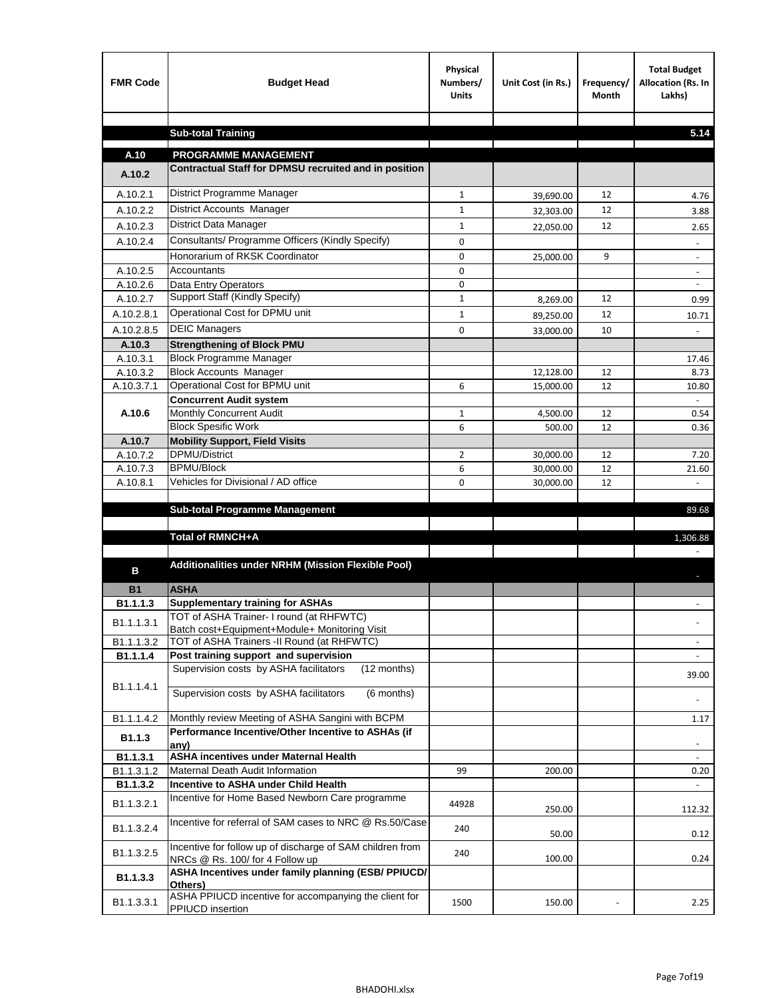| <b>FMR Code</b>    | <b>Budget Head</b>                                                                           | Physical<br>Numbers/<br><b>Units</b> | Unit Cost (in Rs.) | Frequency/<br><b>Month</b> | <b>Total Budget</b><br>Allocation (Rs. In<br>Lakhs) |
|--------------------|----------------------------------------------------------------------------------------------|--------------------------------------|--------------------|----------------------------|-----------------------------------------------------|
|                    |                                                                                              |                                      |                    |                            |                                                     |
|                    | <b>Sub-total Training</b>                                                                    |                                      |                    |                            | 5.14                                                |
| A.10               | <b>PROGRAMME MANAGEMENT</b>                                                                  |                                      |                    |                            |                                                     |
| A.10.2             | Contractual Staff for DPMSU recruited and in position                                        |                                      |                    |                            |                                                     |
| A.10.2.1           | District Programme Manager                                                                   | $\mathbf{1}$                         | 39,690.00          | 12                         | 4.76                                                |
| A.10.2.2           | District Accounts Manager                                                                    | 1                                    | 32,303.00          | 12                         | 3.88                                                |
| A.10.2.3           | District Data Manager                                                                        | $\mathbf{1}$                         |                    | 12                         | 2.65                                                |
| A.10.2.4           | Consultants/ Programme Officers (Kindly Specify)                                             | $\mathbf 0$                          | 22,050.00          |                            |                                                     |
|                    | Honorarium of RKSK Coordinator                                                               | 0                                    | 25,000.00          | 9                          | $\overline{\phantom{a}}$                            |
| A.10.2.5           | Accountants                                                                                  | 0                                    |                    |                            |                                                     |
| A.10.2.6           | Data Entry Operators                                                                         | 0                                    |                    |                            | $\overline{\phantom{a}}$                            |
| A.10.2.7           | Support Staff (Kindly Specify)                                                               | $\mathbf{1}$                         | 8,269.00           | 12                         | 0.99                                                |
| A.10.2.8.1         | Operational Cost for DPMU unit                                                               | $\mathbf{1}$                         | 89,250.00          | 12                         | 10.71                                               |
| A.10.2.8.5         | <b>DEIC Managers</b>                                                                         | $\mathbf 0$                          | 33,000.00          | 10                         |                                                     |
| A.10.3             | <b>Strengthening of Block PMU</b>                                                            |                                      |                    |                            |                                                     |
| A.10.3.1           | <b>Block Programme Manager</b>                                                               |                                      |                    |                            | 17.46                                               |
| A.10.3.2           | <b>Block Accounts Manager</b>                                                                |                                      | 12,128.00          | 12                         | 8.73                                                |
| A.10.3.7.1         | Operational Cost for BPMU unit                                                               | 6                                    | 15,000.00          | 12                         | 10.80                                               |
| A.10.6             | <b>Concurrent Audit system</b><br>Monthly Concurrent Audit                                   | $\mathbf{1}$                         | 4,500.00           | 12                         | 0.54                                                |
|                    | <b>Block Spesific Work</b>                                                                   | 6                                    | 500.00             | 12                         | 0.36                                                |
| A.10.7             | <b>Mobility Support, Field Visits</b>                                                        |                                      |                    |                            |                                                     |
| A.10.7.2           | DPMU/District                                                                                | $\overline{2}$                       | 30,000.00          | 12                         | 7.20                                                |
| A.10.7.3           | <b>BPMU/Block</b>                                                                            | 6                                    | 30,000.00          | 12                         | 21.60                                               |
| A.10.8.1           | Vehicles for Divisional / AD office                                                          | 0                                    | 30,000.00          | 12                         |                                                     |
|                    |                                                                                              |                                      |                    |                            |                                                     |
|                    | <b>Sub-total Programme Management</b>                                                        |                                      |                    |                            | 89.68                                               |
|                    | Total of RMNCH+A                                                                             |                                      |                    |                            | 1,306.88                                            |
|                    |                                                                                              |                                      |                    |                            |                                                     |
| в                  | Additionalities under NRHM (Mission Flexible Pool)                                           |                                      |                    |                            |                                                     |
|                    |                                                                                              |                                      |                    |                            |                                                     |
| <b>B1</b>          | <b>ASHA</b>                                                                                  |                                      |                    |                            |                                                     |
| B1.1.1.3           | <b>Supplementary training for ASHAs</b><br>TOT of ASHA Trainer- I round (at RHFWTC)          |                                      |                    |                            |                                                     |
| B1.1.1.3.1         | Batch cost+Equipment+Module+ Monitoring Visit                                                |                                      |                    |                            |                                                     |
| B1.1.1.3.2         | TOT of ASHA Trainers -II Round (at RHFWTC)                                                   |                                      |                    |                            |                                                     |
| B1.1.1.4           | Post training support and supervision                                                        |                                      |                    |                            | $\sim$                                              |
|                    | Supervision costs by ASHA facilitators<br>(12 months)                                        |                                      |                    |                            | 39.00                                               |
| B1.1.1.4.1         | Supervision costs by ASHA facilitators<br>(6 months)                                         |                                      |                    |                            |                                                     |
|                    |                                                                                              |                                      |                    |                            |                                                     |
| B1.1.1.4.2         | Monthly review Meeting of ASHA Sangini with BCPM                                             |                                      |                    |                            | 1.17                                                |
| B <sub>1.1.3</sub> | Performance Incentive/Other Incentive to ASHAs (if                                           |                                      |                    |                            |                                                     |
| B1.1.3.1           | any)<br><b>ASHA incentives under Maternal Health</b>                                         |                                      |                    |                            |                                                     |
| B1.1.3.1.2         | Maternal Death Audit Information                                                             | 99                                   | 200.00             |                            | 0.20                                                |
| B1.1.3.2           | Incentive to ASHA under Child Health                                                         |                                      |                    |                            | ÷.                                                  |
| B1.1.3.2.1         | Incentive for Home Based Newborn Care programme                                              | 44928                                | 250.00             |                            | 112.32                                              |
| B1.1.3.2.4         | Incentive for referral of SAM cases to NRC @ Rs.50/Case                                      | 240                                  | 50.00              |                            | 0.12                                                |
| B1.1.3.2.5         | Incentive for follow up of discharge of SAM children from<br>NRCs @ Rs. 100/ for 4 Follow up | 240                                  | 100.00             |                            | 0.24                                                |
| B1.1.3.3           | ASHA Incentives under family planning (ESB/ PPIUCD/<br>Others)                               |                                      |                    |                            |                                                     |
| B1.1.3.3.1         | ASHA PPIUCD incentive for accompanying the client for<br>PPIUCD insertion                    | 1500                                 | 150.00             |                            | 2.25                                                |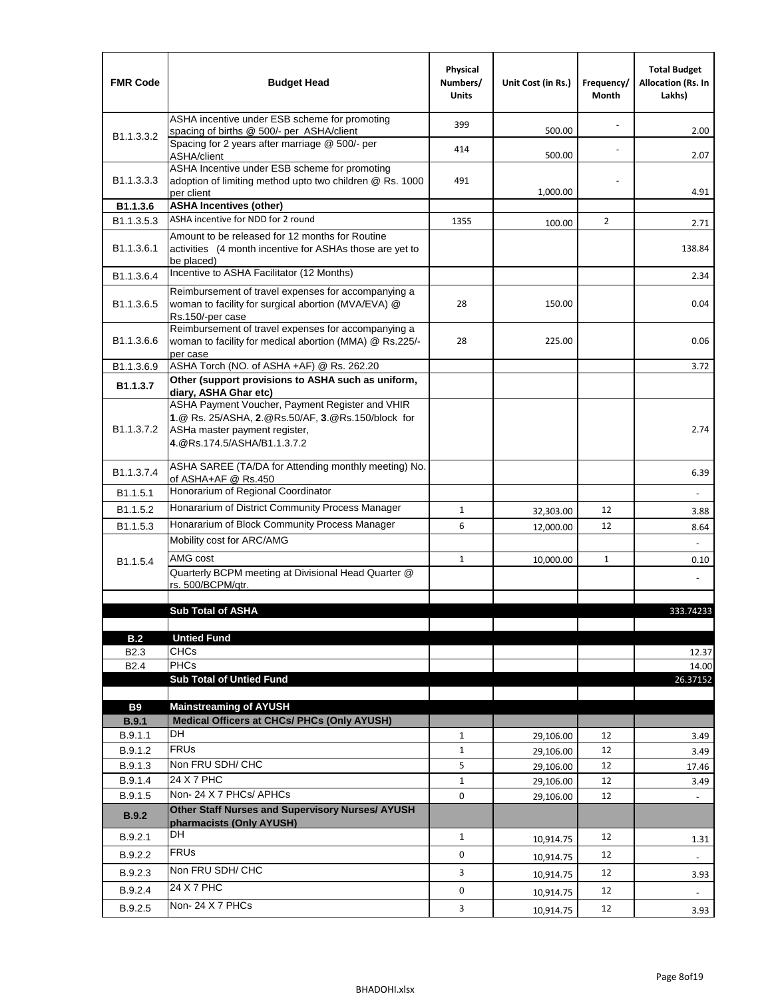| <b>FMR Code</b>                      | <b>Budget Head</b>                                                                                                                                                    | Physical<br>Numbers/<br><b>Units</b> | Unit Cost (in Rs.) | Frequency/<br>Month | <b>Total Budget</b><br><b>Allocation (Rs. In</b><br>Lakhs) |
|--------------------------------------|-----------------------------------------------------------------------------------------------------------------------------------------------------------------------|--------------------------------------|--------------------|---------------------|------------------------------------------------------------|
|                                      | ASHA incentive under ESB scheme for promoting<br>spacing of births @ 500/- per ASHA/client                                                                            | 399                                  | 500.00             |                     | 2.00                                                       |
| B <sub>1.1</sub> , 3, 3, 2           | Spacing for 2 years after marriage @ 500/- per<br>ASHA/client                                                                                                         | 414                                  | 500.00             |                     | 2.07                                                       |
| B1.1.3.3.3                           | ASHA Incentive under ESB scheme for promoting<br>adoption of limiting method upto two children @ Rs. 1000<br>per client                                               | 491                                  | 1,000.00           |                     | 4.91                                                       |
| B1.1.3.6                             | <b>ASHA Incentives (other)</b>                                                                                                                                        |                                      |                    |                     |                                                            |
| B <sub>1.1</sub> , 3, 5, 3           | ASHA incentive for NDD for 2 round                                                                                                                                    | 1355                                 | 100.00             | $\overline{2}$      | 2.71                                                       |
| B <sub>1.1</sub> .3.6.1              | Amount to be released for 12 months for Routine<br>activities (4 month incentive for ASHAs those are yet to<br>be placed)                                             |                                      |                    |                     | 138.84                                                     |
| B1.1.3.6.4                           | Incentive to ASHA Facilitator (12 Months)                                                                                                                             |                                      |                    |                     | 2.34                                                       |
| B <sub>1.1</sub> .3.6.5              | Reimbursement of travel expenses for accompanying a<br>woman to facility for surgical abortion (MVA/EVA) @<br>Rs.150/-per case                                        | 28                                   | 150.00             |                     | 0.04                                                       |
| B <sub>1.1</sub> .3.6.6              | Reimbursement of travel expenses for accompanying a<br>woman to facility for medical abortion (MMA) @ Rs.225/-<br>per case                                            | 28                                   | 225.00             |                     | 0.06                                                       |
| B1.1.3.6.9                           | ASHA Torch (NO. of ASHA +AF) @ Rs. 262.20                                                                                                                             |                                      |                    |                     | 3.72                                                       |
| B1.1.3.7                             | Other (support provisions to ASHA such as uniform,<br>diary, ASHA Ghar etc)                                                                                           |                                      |                    |                     |                                                            |
| B <sub>1.1</sub> .3.7.2              | ASHA Payment Voucher, Payment Register and VHIR<br>1.@ Rs. 25/ASHA, 2.@Rs.50/AF, 3.@Rs.150/block for<br>ASHa master payment register,<br>4. @Rs.174.5/ASHA/B1.1.3.7.2 |                                      |                    |                     | 2.74                                                       |
| B <sub>1.1</sub> , 3.7.4             | ASHA SAREE (TA/DA for Attending monthly meeting) No.<br>of ASHA+AF @ Rs.450                                                                                           |                                      |                    |                     | 6.39                                                       |
| B <sub>1.1</sub> .5.1                | Honorarium of Regional Coordinator                                                                                                                                    |                                      |                    |                     |                                                            |
| B <sub>1.1.5.2</sub>                 | Honararium of District Community Process Manager                                                                                                                      | $\mathbf{1}$                         | 32,303.00          | 12                  | 3.88                                                       |
| B <sub>1.1.5.3</sub>                 | Honararium of Block Community Process Manager                                                                                                                         | 6                                    | 12,000.00          | 12                  | 8.64                                                       |
|                                      | Mobility cost for ARC/AMG                                                                                                                                             |                                      |                    |                     |                                                            |
| B <sub>1.1.5.4</sub>                 | AMG cost                                                                                                                                                              | $\mathbf{1}$                         | 10,000.00          | 1                   | 0.10                                                       |
|                                      | Quarterly BCPM meeting at Divisional Head Quarter @                                                                                                                   |                                      |                    |                     |                                                            |
|                                      | rs. 500/BCPM/qtr.                                                                                                                                                     |                                      |                    |                     |                                                            |
|                                      | <b>Sub Total of ASHA</b>                                                                                                                                              |                                      |                    |                     | 333.74233                                                  |
|                                      |                                                                                                                                                                       |                                      |                    |                     |                                                            |
| B.2                                  | <b>Untied Fund</b><br><b>CHCs</b>                                                                                                                                     |                                      |                    |                     |                                                            |
| B <sub>2.3</sub><br>B <sub>2.4</sub> | PHCs                                                                                                                                                                  |                                      |                    |                     | 12.37<br>14.00                                             |
|                                      | <b>Sub Total of Untied Fund</b>                                                                                                                                       |                                      |                    |                     | 26.37152                                                   |
|                                      |                                                                                                                                                                       |                                      |                    |                     |                                                            |
| <b>B9</b>                            | <b>Mainstreaming of AYUSH</b>                                                                                                                                         |                                      |                    |                     |                                                            |
| B.9.1<br>B.9.1.1                     | Medical Officers at CHCs/ PHCs (Only AYUSH)<br><b>DH</b>                                                                                                              | $\mathbf{1}$                         | 29,106.00          | 12                  | 3.49                                                       |
| B.9.1.2                              | <b>FRUs</b>                                                                                                                                                           | $\mathbf{1}$                         | 29,106.00          | 12                  | 3.49                                                       |
| B.9.1.3                              | Non FRU SDH/ CHC                                                                                                                                                      | 5                                    | 29,106.00          | 12                  | 17.46                                                      |
| B.9.1.4                              | 24 X 7 PHC                                                                                                                                                            | $\mathbf{1}$                         | 29,106.00          | 12                  | 3.49                                                       |
| B.9.1.5                              | Non-24 X 7 PHCs/ APHCs                                                                                                                                                | 0                                    | 29,106.00          | 12                  | $\blacksquare$                                             |
| <b>B.9.2</b>                         | Other Staff Nurses and Supervisory Nurses/ AYUSH<br>pharmacists (Only AYUSH)                                                                                          |                                      |                    |                     |                                                            |
| B.9.2.1                              | DH                                                                                                                                                                    | $\mathbf{1}$                         | 10,914.75          | 12                  | 1.31                                                       |
| B.9.2.2                              | <b>FRUs</b>                                                                                                                                                           | 0                                    | 10,914.75          | 12                  |                                                            |
| B.9.2.3                              | Non FRU SDH/ CHC                                                                                                                                                      | 3                                    | 10,914.75          | 12                  | 3.93                                                       |
| B.9.2.4                              | 24 X 7 PHC                                                                                                                                                            | 0                                    | 10,914.75          | 12                  | $\overline{\phantom{a}}$                                   |
| B.9.2.5                              | Non-24 X 7 PHCs                                                                                                                                                       | $\mathbf{3}$                         | 10,914.75          | 12                  | 3.93                                                       |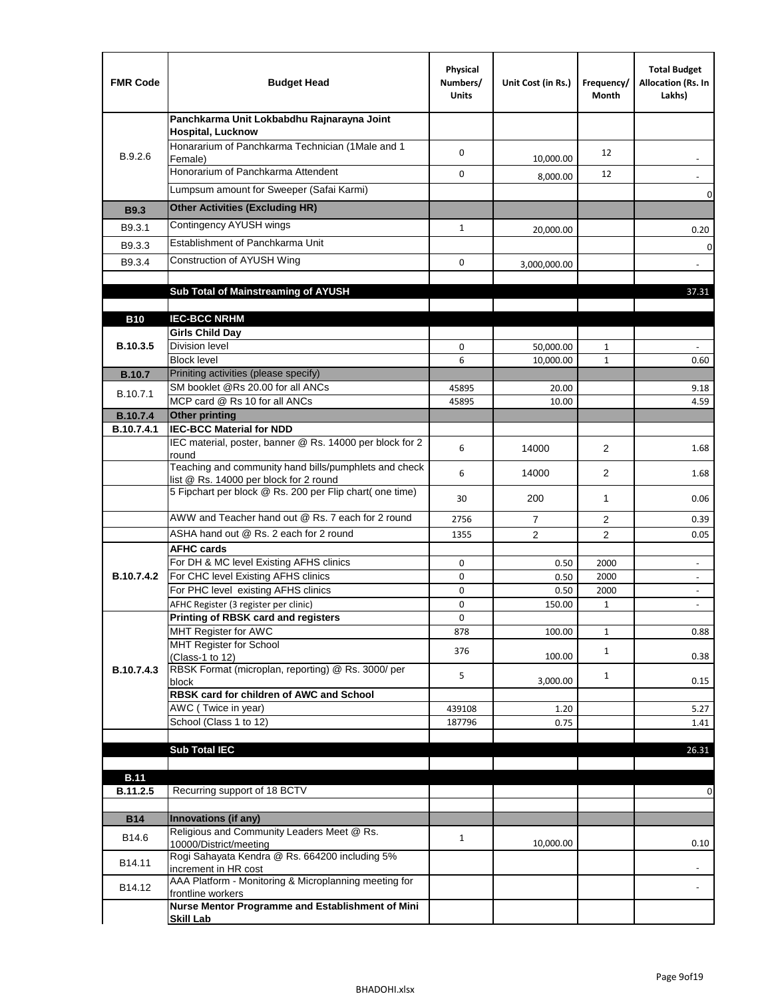| <b>FMR Code</b> | <b>Budget Head</b>                                                                              | Physical<br>Numbers/<br><b>Units</b> | Unit Cost (in Rs.) | Frequency/<br>Month | <b>Total Budget</b><br>Allocation (Rs. In<br>Lakhs) |
|-----------------|-------------------------------------------------------------------------------------------------|--------------------------------------|--------------------|---------------------|-----------------------------------------------------|
|                 | Panchkarma Unit Lokbabdhu Rajnarayna Joint<br><b>Hospital, Lucknow</b>                          |                                      |                    |                     |                                                     |
| B.9.2.6         | Honararium of Panchkarma Technician (1Male and 1<br>Female)                                     | 0                                    | 10,000.00          | 12                  |                                                     |
|                 | Honorarium of Panchkarma Attendent                                                              | $\mathbf 0$                          | 8,000.00           | 12                  |                                                     |
|                 | Lumpsum amount for Sweeper (Safai Karmi)                                                        |                                      |                    |                     | 0                                                   |
| <b>B9.3</b>     | <b>Other Activities (Excluding HR)</b>                                                          |                                      |                    |                     |                                                     |
| B9.3.1          | Contingency AYUSH wings                                                                         | $\mathbf{1}$                         | 20,000.00          |                     | 0.20                                                |
| B9.3.3          | Establishment of Panchkarma Unit                                                                |                                      |                    |                     | $\mathbf 0$                                         |
| B9.3.4          | Construction of AYUSH Wing                                                                      | 0                                    | 3,000,000.00       |                     |                                                     |
|                 |                                                                                                 |                                      |                    |                     |                                                     |
|                 | Sub Total of Mainstreaming of AYUSH                                                             |                                      |                    |                     | 37.31                                               |
|                 |                                                                                                 |                                      |                    |                     |                                                     |
| <b>B10</b>      | <b>IEC-BCC NRHM</b><br><b>Girls Child Day</b>                                                   |                                      |                    |                     |                                                     |
| B.10.3.5        | <b>Division level</b>                                                                           | 0                                    | 50,000.00          | 1                   |                                                     |
|                 | <b>Block level</b>                                                                              | 6                                    | 10,000.00          | $\mathbf{1}$        | 0.60                                                |
| <b>B.10.7</b>   | Priniting activities (please specify)                                                           |                                      |                    |                     |                                                     |
| B.10.7.1        | SM booklet @Rs 20.00 for all ANCs<br>MCP card @ Rs 10 for all ANCs                              | 45895                                | 20.00              |                     | 9.18                                                |
| <b>B.10.7.4</b> | <b>Other printing</b>                                                                           | 45895                                | 10.00              |                     | 4.59                                                |
| B.10.7.4.1      | <b>IEC-BCC Material for NDD</b>                                                                 |                                      |                    |                     |                                                     |
|                 | IEC material, poster, banner @ Rs. 14000 per block for 2<br>round                               | 6                                    | 14000              | $\overline{2}$      | 1.68                                                |
|                 | Teaching and community hand bills/pumphlets and check<br>list @ Rs. 14000 per block for 2 round | 6                                    | 14000              | $\overline{2}$      | 1.68                                                |
|                 | 5 Fipchart per block @ Rs. 200 per Flip chart( one time)                                        | 30                                   | 200                | $\mathbf{1}$        | 0.06                                                |
|                 | AWW and Teacher hand out @ Rs. 7 each for 2 round                                               | 2756                                 | $\overline{7}$     | 2                   | 0.39                                                |
|                 | ASHA hand out @ Rs. 2 each for 2 round                                                          | 1355                                 | $\overline{2}$     | $\overline{2}$      | 0.05                                                |
|                 | <b>AFHC cards</b><br>For DH & MC level Existing AFHS clinics                                    | 0                                    |                    | 2000                | $\overline{\phantom{a}}$                            |
| B.10.7.4.2      | For CHC level Existing AFHS clinics                                                             | 0                                    | 0.50<br>0.50       | 2000                | $\overline{\phantom{a}}$                            |
|                 | For PHC level existing AFHS clinics                                                             | 0                                    | 0.50               | 2000                | $\bar{\phantom{a}}$                                 |
|                 | AFHC Register (3 register per clinic)                                                           | 0                                    | 150.00             | $\mathbf{1}$        | $\blacksquare$                                      |
|                 | Printing of RBSK card and registers                                                             | 0                                    |                    |                     |                                                     |
|                 | MHT Register for AWC<br>MHT Register for School                                                 | 878                                  | 100.00             | $\mathbf{1}$        | 0.88                                                |
|                 | (Class-1 to 12)                                                                                 | 376                                  | 100.00             | $\mathbf{1}$        | 0.38                                                |
| B.10.7.4.3      | RBSK Format (microplan, reporting) @ Rs. 3000/ per                                              | 5                                    |                    | $\mathbf{1}$        |                                                     |
|                 | block<br>RBSK card for children of AWC and School                                               |                                      | 3,000.00           |                     | 0.15                                                |
|                 | AWC (Twice in year)                                                                             | 439108                               | 1.20               |                     | 5.27                                                |
|                 | School (Class 1 to 12)                                                                          | 187796                               | 0.75               |                     | 1.41                                                |
|                 |                                                                                                 |                                      |                    |                     |                                                     |
|                 | <b>Sub Total IEC</b>                                                                            |                                      |                    |                     | 26.31                                               |
| <b>B.11</b>     |                                                                                                 |                                      |                    |                     |                                                     |
| B.11.2.5        | Recurring support of 18 BCTV                                                                    |                                      |                    |                     | 0                                                   |
|                 |                                                                                                 |                                      |                    |                     |                                                     |
| <b>B14</b>      | Innovations (if any)<br>Religious and Community Leaders Meet @ Rs.                              |                                      |                    |                     |                                                     |
| B14.6           | 10000/District/meeting                                                                          | $\mathbf{1}$                         | 10,000.00          |                     | 0.10                                                |
| B14.11          | Rogi Sahayata Kendra @ Rs. 664200 including 5%<br>increment in HR cost                          |                                      |                    |                     |                                                     |
| B14.12          | AAA Platform - Monitoring & Microplanning meeting for<br>frontline workers                      |                                      |                    |                     |                                                     |
|                 | Nurse Mentor Programme and Establishment of Mini                                                |                                      |                    |                     |                                                     |
|                 | <b>Skill Lab</b>                                                                                |                                      |                    |                     |                                                     |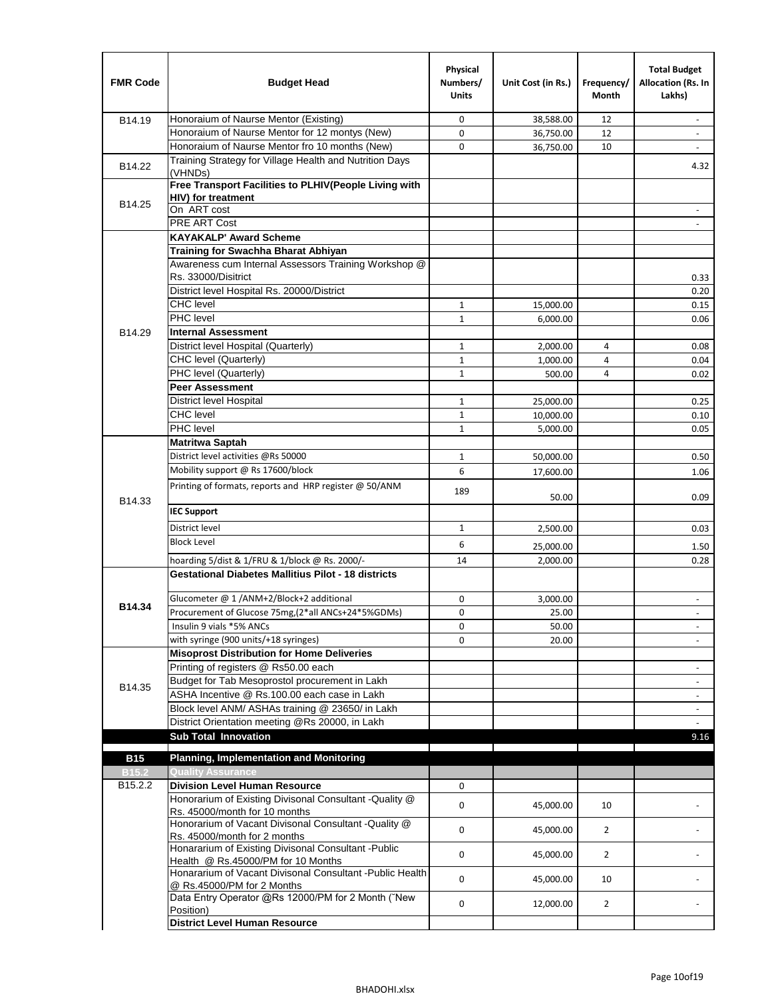| <b>FMR Code</b>     | <b>Budget Head</b>                                                                      | Physical<br>Numbers/<br><b>Units</b> | Unit Cost (in Rs.) | Frequency/<br>Month | <b>Total Budget</b><br>Allocation (Rs. In<br>Lakhs) |
|---------------------|-----------------------------------------------------------------------------------------|--------------------------------------|--------------------|---------------------|-----------------------------------------------------|
| B14.19              | Honoraium of Naurse Mentor (Existing)                                                   | 0                                    | 38,588.00          | 12                  |                                                     |
|                     | Honoraium of Naurse Mentor for 12 montys (New)                                          | 0                                    | 36,750.00          | 12                  | $\overline{a}$                                      |
|                     | Honoraium of Naurse Mentor fro 10 months (New)                                          | 0                                    | 36,750.00          | 10                  | $\blacksquare$                                      |
| B14.22              | Training Strategy for Village Health and Nutrition Days<br>(VHNDs)                      |                                      |                    |                     | 4.32                                                |
|                     | Free Transport Facilities to PLHIV(People Living with                                   |                                      |                    |                     |                                                     |
| B14.25              | HIV) for treatment                                                                      |                                      |                    |                     |                                                     |
|                     | On ART cost                                                                             |                                      |                    |                     |                                                     |
|                     | PRE ART Cost                                                                            |                                      |                    |                     | $\overline{a}$                                      |
|                     | <b>KAYAKALP' Award Scheme</b>                                                           |                                      |                    |                     |                                                     |
|                     | Training for Swachha Bharat Abhiyan                                                     |                                      |                    |                     |                                                     |
|                     | Awareness cum Internal Assessors Training Workshop @                                    |                                      |                    |                     |                                                     |
|                     | Rs. 33000/Disitrict                                                                     |                                      |                    |                     | 0.33                                                |
|                     | District level Hospital Rs. 20000/District                                              |                                      |                    |                     | 0.20                                                |
|                     | <b>CHC</b> level                                                                        | $\mathbf{1}$                         | 15,000.00          |                     | 0.15                                                |
|                     | PHC level                                                                               | $\mathbf{1}$                         | 6,000.00           |                     | 0.06                                                |
| B14.29              | <b>Internal Assessment</b>                                                              |                                      |                    |                     |                                                     |
|                     | District level Hospital (Quarterly)                                                     | $\mathbf 1$                          | 2,000.00           | 4                   | 0.08                                                |
|                     | CHC level (Quarterly)                                                                   | $\mathbf 1$                          | 1,000.00           | $\overline{4}$      | 0.04                                                |
|                     | PHC level (Quarterly)                                                                   | $\mathbf{1}$                         | 500.00             | 4                   | 0.02                                                |
|                     | <b>Peer Assessment</b>                                                                  |                                      |                    |                     |                                                     |
|                     | <b>District level Hospital</b>                                                          | 1                                    | 25,000.00          |                     | 0.25                                                |
|                     | <b>CHC</b> level                                                                        | $\mathbf{1}$                         | 10,000.00          |                     | 0.10                                                |
|                     | PHC level                                                                               | $\mathbf{1}$                         | 5,000.00           |                     | 0.05                                                |
|                     | <b>Matritwa Saptah</b>                                                                  |                                      |                    |                     |                                                     |
|                     | District level activities @Rs 50000                                                     | 1                                    | 50,000.00          |                     | 0.50                                                |
|                     | Mobility support @ Rs 17600/block                                                       | 6                                    | 17,600.00          |                     | 1.06                                                |
| B14.33              | Printing of formats, reports and HRP register @ 50/ANM                                  | 189                                  | 50.00              |                     | 0.09                                                |
|                     | <b>IEC Support</b>                                                                      |                                      |                    |                     |                                                     |
|                     | District level                                                                          | 1                                    | 2,500.00           |                     | 0.03                                                |
|                     | <b>Block Level</b>                                                                      | 6                                    | 25,000.00          |                     | 1.50                                                |
|                     | hoarding 5/dist & 1/FRU & 1/block @ Rs. 2000/-                                          | 14                                   | 2,000.00           |                     | 0.28                                                |
|                     | <b>Gestational Diabetes Mallitius Pilot - 18 districts</b>                              |                                      |                    |                     |                                                     |
|                     | Glucometer @ 1 /ANM+2/Block+2 additional                                                | 0                                    |                    |                     |                                                     |
| B14.34              | Procurement of Glucose 75mg, (2*all ANCs+24*5%GDMs)                                     | 0                                    | 3,000.00           |                     |                                                     |
|                     | Insulin 9 vials *5% ANCs                                                                |                                      | 25.00              |                     |                                                     |
|                     | with syringe (900 units/+18 syringes)                                                   | 0<br>0                               | 50.00              |                     | $\blacksquare$                                      |
|                     | <b>Misoprost Distribution for Home Deliveries</b>                                       |                                      | 20.00              |                     |                                                     |
|                     | Printing of registers @ Rs50.00 each                                                    |                                      |                    |                     |                                                     |
|                     | Budget for Tab Mesoprostol procurement in Lakh                                          |                                      |                    |                     | $\overline{\phantom{a}}$<br>$\blacksquare$          |
| B14.35              | ASHA Incentive @ Rs.100.00 each case in Lakh                                            |                                      |                    |                     | $\overline{\phantom{a}}$                            |
|                     | Block level ANM/ ASHAs training @ 23650/ in Lakh                                        |                                      |                    |                     |                                                     |
|                     | District Orientation meeting @Rs 20000, in Lakh                                         |                                      |                    |                     | $\omega$                                            |
|                     | <b>Sub Total Innovation</b>                                                             |                                      |                    |                     | 9.16                                                |
| <b>B15</b>          | <b>Planning, Implementation and Monitoring</b>                                          |                                      |                    |                     |                                                     |
| <b>B15.2</b>        | <b>Quality Assurance</b>                                                                |                                      |                    |                     |                                                     |
| B <sub>15.2.2</sub> | <b>Division Level Human Resource</b>                                                    | 0                                    |                    |                     |                                                     |
|                     | Honorarium of Existing Divisonal Consultant - Quality @                                 |                                      |                    |                     |                                                     |
|                     | Rs. 45000/month for 10 months                                                           | 0                                    | 45,000.00          | 10                  |                                                     |
|                     | Honorarium of Vacant Divisonal Consultant - Quality @                                   | 0                                    | 45,000.00          | $\overline{2}$      |                                                     |
|                     | Rs. 45000/month for 2 months<br>Honararium of Existing Divisonal Consultant - Public    |                                      |                    |                     |                                                     |
|                     | Health @ Rs.45000/PM for 10 Months                                                      | 0                                    | 45,000.00          | $\overline{2}$      |                                                     |
|                     | Honararium of Vacant Divisonal Consultant - Public Health<br>@ Rs.45000/PM for 2 Months | 0                                    | 45,000.00          | 10                  |                                                     |
|                     | Data Entry Operator @Rs 12000/PM for 2 Month ("New<br>Position)                         | 0                                    | 12,000.00          | $\overline{2}$      |                                                     |
|                     | <b>District Level Human Resource</b>                                                    |                                      |                    |                     |                                                     |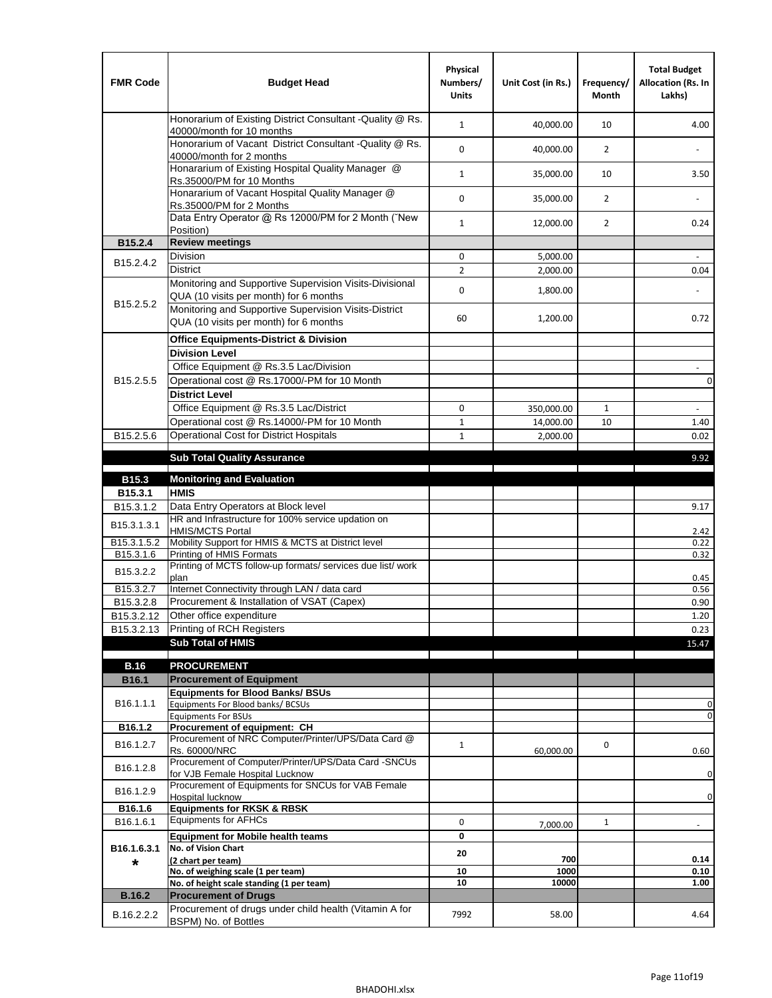| <b>FMR Code</b>         | <b>Budget Head</b>                                                                                | Physical<br>Numbers/<br><b>Units</b> | Unit Cost (in Rs.) | Frequency/<br><b>Month</b> | <b>Total Budget</b><br>Allocation (Rs. In<br>Lakhs) |
|-------------------------|---------------------------------------------------------------------------------------------------|--------------------------------------|--------------------|----------------------------|-----------------------------------------------------|
|                         | Honorarium of Existing District Consultant -Quality @ Rs.<br>40000/month for 10 months            | $\mathbf{1}$                         | 40,000.00          | 10                         | 4.00                                                |
|                         | Honorarium of Vacant District Consultant -Quality @ Rs.<br>40000/month for 2 months               | $\mathbf 0$                          | 40,000.00          | $\overline{2}$             |                                                     |
|                         | Honararium of Existing Hospital Quality Manager @<br>Rs.35000/PM for 10 Months                    | $\mathbf{1}$                         | 35,000.00          | 10                         | 3.50                                                |
|                         | Honararium of Vacant Hospital Quality Manager @<br>Rs.35000/PM for 2 Months                       | $\mathbf 0$                          | 35,000.00          | $\overline{2}$             |                                                     |
|                         | Data Entry Operator @ Rs 12000/PM for 2 Month ("New<br>Position)                                  | $\mathbf{1}$                         | 12,000.00          | $\overline{2}$             | 0.24                                                |
| B15.2.4                 | <b>Review meetings</b>                                                                            |                                      |                    |                            |                                                     |
| B <sub>15.2</sub> .4.2  | Division                                                                                          | 0                                    | 5,000.00           |                            |                                                     |
|                         | <b>District</b>                                                                                   | $\overline{2}$                       | 2,000.00           |                            | 0.04                                                |
|                         | Monitoring and Supportive Supervision Visits-Divisional<br>QUA (10 visits per month) for 6 months | $\mathbf 0$                          | 1,800.00           |                            |                                                     |
| B15.2.5.2               | Monitoring and Supportive Supervision Visits-District<br>QUA (10 visits per month) for 6 months   | 60                                   | 1,200.00           |                            | 0.72                                                |
|                         | <b>Office Equipments-District &amp; Division</b>                                                  |                                      |                    |                            |                                                     |
|                         | <b>Division Level</b>                                                                             |                                      |                    |                            |                                                     |
|                         | Office Equipment @ Rs.3.5 Lac/Division                                                            |                                      |                    |                            | $\overline{\phantom{a}}$                            |
| B15.2.5.5               | Operational cost @ Rs.17000/-PM for 10 Month                                                      |                                      |                    |                            | $\pmb{0}$                                           |
|                         | <b>District Level</b>                                                                             |                                      |                    |                            |                                                     |
|                         | Office Equipment @ Rs.3.5 Lac/District                                                            | 0                                    | 350,000.00         | 1                          | $\blacksquare$                                      |
|                         | Operational cost @ Rs.14000/-PM for 10 Month                                                      | $1\,$                                | 14,000.00          | 10                         | 1.40                                                |
| B15.2.5.6               | <b>Operational Cost for District Hospitals</b>                                                    | $\mathbf{1}$                         | 2,000.00           |                            | 0.02                                                |
|                         | <b>Sub Total Quality Assurance</b>                                                                |                                      |                    |                            | 9.92                                                |
| B15.3                   | <b>Monitoring and Evaluation</b>                                                                  |                                      |                    |                            |                                                     |
| B15.3.1                 | <b>HMIS</b>                                                                                       |                                      |                    |                            |                                                     |
| B15.3.1.2               | Data Entry Operators at Block level                                                               |                                      |                    |                            | 9.17                                                |
| B15.3.1.3.1             | HR and Infrastructure for 100% service updation on<br><b>HMIS/MCTS Portal</b>                     |                                      |                    |                            | 2.42                                                |
| B <sub>15.3.1.5.2</sub> | Mobility Support for HMIS & MCTS at District level                                                |                                      |                    |                            | 0.22                                                |
| B15.3.1.6               | Printing of HMIS Formats                                                                          |                                      |                    |                            | 0.32                                                |
| B15.3.2.2               | Printing of MCTS follow-up formats/ services due list/ work<br>plan                               |                                      |                    |                            | 0.45                                                |
| B15.3.2.7               | Internet Connectivity through LAN / data card                                                     |                                      |                    |                            | 0.56                                                |
| B15.3.2.8               | Procurement & Installation of VSAT (Capex)                                                        |                                      |                    |                            | 0.90                                                |
| B15.3.2.12              | Other office expenditure                                                                          |                                      |                    |                            | 1.20                                                |
| B15.3.2.13              | Printing of RCH Registers                                                                         |                                      |                    |                            | 0.23                                                |
|                         | <b>Sub Total of HMIS</b>                                                                          |                                      |                    |                            | 15.47                                               |
| <b>B.16</b>             | <b>PROCUREMENT</b>                                                                                |                                      |                    |                            |                                                     |
| B16.1                   | <b>Procurement of Equipment</b>                                                                   |                                      |                    |                            |                                                     |
|                         | <b>Equipments for Blood Banks/ BSUs</b>                                                           |                                      |                    |                            |                                                     |
| B16.1.1.1               | Equipments For Blood banks/ BCSUs                                                                 |                                      |                    |                            | 0                                                   |
| B16.1.2                 | <b>Equipments For BSUs</b><br>Procurement of equipment: CH                                        |                                      |                    |                            | 0                                                   |
|                         | Procurement of NRC Computer/Printer/UPS/Data Card @                                               |                                      |                    |                            |                                                     |
| B16.1.2.7               | Rs. 60000/NRC                                                                                     | $\mathbf{1}$                         | 60,000.00          | 0                          | 0.60                                                |
| B16.1.2.8               | Procurement of Computer/Printer/UPS/Data Card -SNCUs                                              |                                      |                    |                            |                                                     |
|                         | for VJB Female Hospital Lucknow<br>Procurement of Equipments for SNCUs for VAB Female             |                                      |                    |                            | 0                                                   |
| B16.1.2.9               | Hospital lucknow                                                                                  |                                      |                    |                            | $\mathbf 0$                                         |
| B16.1.6                 | <b>Equipments for RKSK &amp; RBSK</b>                                                             |                                      |                    |                            |                                                     |
| B16.1.6.1               | <b>Equipments for AFHCs</b>                                                                       | 0                                    | 7,000.00           | $\mathbf{1}$               | ÷,                                                  |
|                         | <b>Equipment for Mobile health teams</b>                                                          | 0                                    |                    |                            |                                                     |
| B16.1.6.3.1             | No. of Vision Chart                                                                               | 20                                   |                    |                            |                                                     |
| *                       | (2 chart per team)<br>No. of weighing scale (1 per team)                                          | 10                                   | 700<br>1000        |                            | 0.14<br>0.10                                        |
|                         | No. of height scale standing (1 per team)                                                         | 10                                   | 10000              |                            | 1.00                                                |
| <b>B.16.2</b>           | <b>Procurement of Drugs</b>                                                                       |                                      |                    |                            |                                                     |
| B.16.2.2.2              | Procurement of drugs under child health (Vitamin A for                                            | 7992                                 | 58.00              |                            | 4.64                                                |
|                         | BSPM) No. of Bottles                                                                              |                                      |                    |                            |                                                     |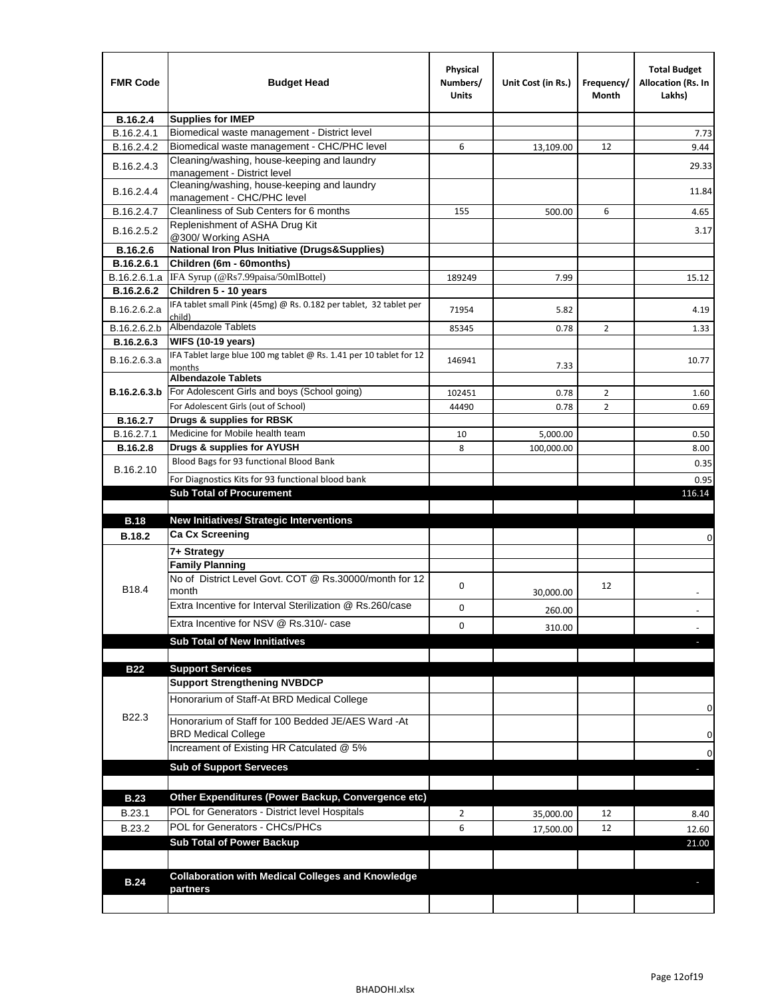| <b>FMR Code</b> | <b>Budget Head</b>                                                                | Physical<br>Numbers/<br>Units | Unit Cost (in Rs.) | Frequency/<br>Month | <b>Total Budget</b><br>Allocation (Rs. In<br>Lakhs) |
|-----------------|-----------------------------------------------------------------------------------|-------------------------------|--------------------|---------------------|-----------------------------------------------------|
| B.16.2.4        | <b>Supplies for IMEP</b>                                                          |                               |                    |                     |                                                     |
| B.16.2.4.1      | Biomedical waste management - District level                                      |                               |                    |                     | 7.73                                                |
| B.16.2.4.2      | Biomedical waste management - CHC/PHC level                                       | 6                             | 13,109.00          | 12                  | 9.44                                                |
| B.16.2.4.3      | Cleaning/washing, house-keeping and laundry<br>management - District level        |                               |                    |                     | 29.33                                               |
| B.16.2.4.4      | Cleaning/washing, house-keeping and laundry<br>management - CHC/PHC level         |                               |                    |                     | 11.84                                               |
| B.16.2.4.7      | Cleanliness of Sub Centers for 6 months                                           | 155                           | 500.00             | 6                   | 4.65                                                |
| B.16.2.5.2      | Replenishment of ASHA Drug Kit<br>@300/ Working ASHA                              |                               |                    |                     | 3.17                                                |
| B.16.2.6        | <b>National Iron Plus Initiative (Drugs&amp;Supplies)</b>                         |                               |                    |                     |                                                     |
| B.16.2.6.1      | Children (6m - 60months)                                                          |                               |                    |                     |                                                     |
| B.16.2.6.1.a    | IFA Syrup (@Rs7.99paisa/50mlBottel)                                               | 189249                        | 7.99               |                     | 15.12                                               |
| B.16.2.6.2      | Children 5 - 10 years                                                             |                               |                    |                     |                                                     |
| B.16.2.6.2.a    | IFA tablet small Pink (45mg) @ Rs. 0.182 per tablet, 32 tablet per<br>child)      | 71954                         | 5.82               |                     | 4.19                                                |
| B.16.2.6.2.b    | <b>Albendazole Tablets</b>                                                        | 85345                         | 0.78               | 2                   | 1.33                                                |
| B.16.2.6.3      | <b>WIFS (10-19 years)</b>                                                         |                               |                    |                     |                                                     |
| B.16.2.6.3.a    | IFA Tablet large blue 100 mg tablet @ Rs. 1.41 per 10 tablet for 12<br>months     | 146941                        | 7.33               |                     | 10.77                                               |
|                 | <b>Albendazole Tablets</b>                                                        |                               |                    |                     |                                                     |
| B.16.2.6.3.b    | For Adolescent Girls and boys (School going)                                      | 102451                        | 0.78               | $\overline{2}$      | 1.60                                                |
|                 | For Adolescent Girls (out of School)                                              | 44490                         | 0.78               | $\overline{2}$      | 0.69                                                |
| B.16.2.7        | Drugs & supplies for RBSK                                                         |                               |                    |                     |                                                     |
| B.16.2.7.1      | Medicine for Mobile health team                                                   | 10                            | 5,000.00           |                     | 0.50                                                |
| <b>B.16.2.8</b> | Drugs & supplies for AYUSH                                                        | 8                             | 100,000.00         |                     | 8.00                                                |
| B.16.2.10       | Blood Bags for 93 functional Blood Bank                                           |                               |                    |                     | 0.35                                                |
|                 | For Diagnostics Kits for 93 functional blood bank                                 |                               |                    |                     | 0.95                                                |
|                 | <b>Sub Total of Procurement</b>                                                   |                               |                    |                     | 116.14                                              |
| <b>B.18</b>     | <b>New Initiatives/ Strategic Interventions</b>                                   |                               |                    |                     |                                                     |
|                 | <b>Ca Cx Screening</b>                                                            |                               |                    |                     |                                                     |
| <b>B.18.2</b>   |                                                                                   |                               |                    |                     | 0                                                   |
|                 | 7+ Strategy<br><b>Family Planning</b>                                             |                               |                    |                     |                                                     |
| B18.4           | No of District Level Govt, COT @ Rs.30000/month for 12<br>month                   | 0                             |                    | 12                  |                                                     |
|                 | Extra Incentive for Interval Sterilization @ Rs.260/case                          |                               | 30,000.00          |                     |                                                     |
|                 |                                                                                   | 0                             | 260.00             |                     |                                                     |
|                 | Extra Incentive for NSV @ Rs.310/- case                                           | 0                             | 310.00             |                     |                                                     |
|                 | <b>Sub Total of New Innitiatives</b>                                              |                               |                    |                     |                                                     |
|                 |                                                                                   |                               |                    |                     |                                                     |
| <b>B22</b>      | <b>Support Services</b>                                                           |                               |                    |                     |                                                     |
|                 | <b>Support Strengthening NVBDCP</b><br>Honorarium of Staff-At BRD Medical College |                               |                    |                     |                                                     |
| B22.3           | Honorarium of Staff for 100 Bedded JE/AES Ward -At                                |                               |                    |                     | 0                                                   |
|                 | <b>BRD Medical College</b><br>Increament of Existing HR Catculated @ 5%           |                               |                    |                     | 0                                                   |
|                 | <b>Sub of Support Serveces</b>                                                    |                               |                    |                     | 0                                                   |
|                 |                                                                                   |                               |                    |                     |                                                     |
|                 | Other Expenditures (Power Backup, Convergence etc)                                |                               |                    |                     |                                                     |
| <b>B.23</b>     | POL for Generators - District level Hospitals                                     |                               |                    |                     |                                                     |
| B.23.1          |                                                                                   | $\overline{2}$                | 35,000.00          | 12                  | 8.40                                                |
| B.23.2          | POL for Generators - CHCs/PHCs                                                    | 6                             | 17,500.00          | 12                  | 12.60                                               |
|                 | <b>Sub Total of Power Backup</b>                                                  |                               |                    |                     | 21.00                                               |
|                 | <b>Collaboration with Medical Colleges and Knowledge</b>                          |                               |                    |                     |                                                     |
| <b>B.24</b>     | partners                                                                          |                               |                    |                     |                                                     |
|                 |                                                                                   |                               |                    |                     |                                                     |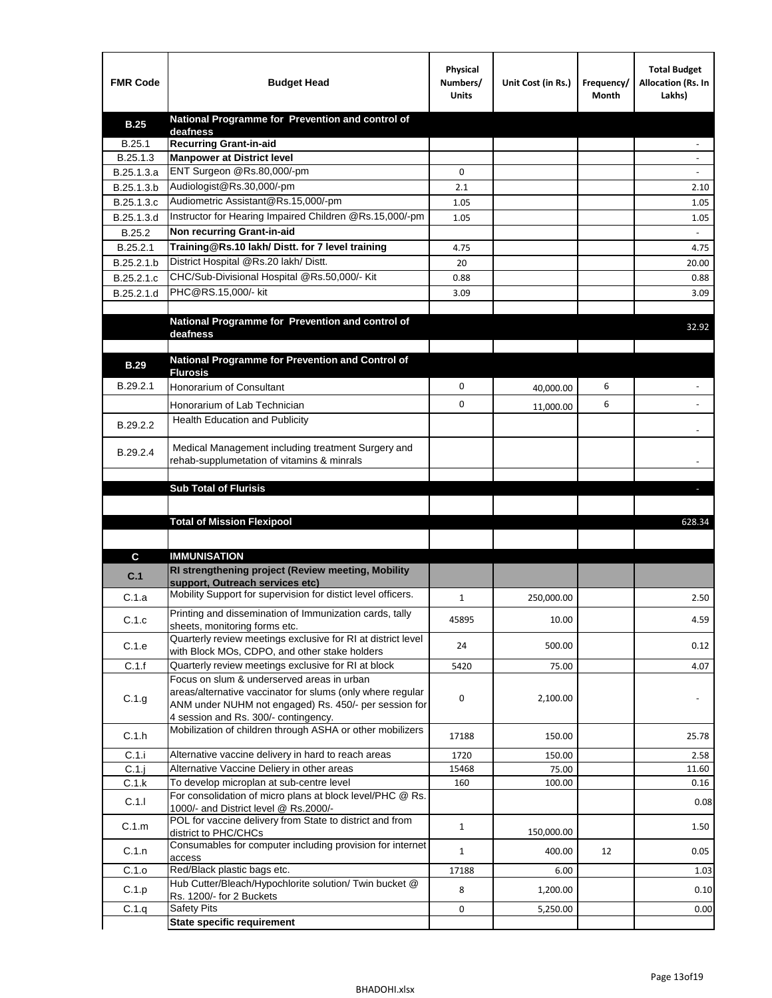| <b>FMR Code</b> | <b>Budget Head</b>                                                                                   | Physical<br>Numbers/<br><b>Units</b> | Unit Cost (in Rs.) | Frequency/<br>Month | <b>Total Budget</b><br>Allocation (Rs. In<br>Lakhs) |
|-----------------|------------------------------------------------------------------------------------------------------|--------------------------------------|--------------------|---------------------|-----------------------------------------------------|
| <b>B.25</b>     | National Programme for Prevention and control of                                                     |                                      |                    |                     |                                                     |
| B.25.1          | deafness<br><b>Recurring Grant-in-aid</b>                                                            |                                      |                    |                     |                                                     |
| B.25.1.3        | <b>Manpower at District level</b>                                                                    |                                      |                    |                     |                                                     |
| B.25.1.3.a      | ENT Surgeon @Rs.80,000/-pm                                                                           | 0                                    |                    |                     |                                                     |
| B.25.1.3.b      | Audiologist@Rs.30,000/-pm                                                                            | 2.1                                  |                    |                     | 2.10                                                |
| B.25.1.3.c      | Audiometric Assistant@Rs.15,000/-pm                                                                  | 1.05                                 |                    |                     | 1.05                                                |
| B.25.1.3.d      | Instructor for Hearing Impaired Children @Rs.15,000/-pm                                              | 1.05                                 |                    |                     | 1.05                                                |
| B.25.2          | Non recurring Grant-in-aid                                                                           |                                      |                    |                     |                                                     |
| B.25.2.1        | Training@Rs.10 lakh/ Distt. for 7 level training                                                     | 4.75                                 |                    |                     | 4.75                                                |
| B.25.2.1.b      | District Hospital @Rs.20 lakh/Distt.                                                                 | 20                                   |                    |                     | 20.00                                               |
| B.25.2.1.c      | CHC/Sub-Divisional Hospital @Rs.50,000/- Kit                                                         | 0.88                                 |                    |                     | 0.88                                                |
| B.25.2.1.d      | PHC@RS.15,000/- kit                                                                                  | 3.09                                 |                    |                     | 3.09                                                |
|                 |                                                                                                      |                                      |                    |                     |                                                     |
|                 | National Programme for Prevention and control of                                                     |                                      |                    |                     | 32.92                                               |
|                 | deafness                                                                                             |                                      |                    |                     |                                                     |
| <b>B.29</b>     | National Programme for Prevention and Control of                                                     |                                      |                    |                     |                                                     |
|                 | <b>Flurosis</b>                                                                                      |                                      |                    |                     |                                                     |
| B.29.2.1        | Honorarium of Consultant                                                                             | 0                                    | 40,000.00          | 6                   |                                                     |
|                 | Honorarium of Lab Technician                                                                         | 0                                    | 11,000.00          | 6                   | $\ddot{\phantom{1}}$                                |
| B.29.2.2        | <b>Health Education and Publicity</b>                                                                |                                      |                    |                     |                                                     |
|                 |                                                                                                      |                                      |                    |                     |                                                     |
| B.29.2.4        | Medical Management including treatment Surgery and                                                   |                                      |                    |                     |                                                     |
|                 | rehab-supplumetation of vitamins & minrals                                                           |                                      |                    |                     |                                                     |
|                 | <b>Sub Total of Flurisis</b>                                                                         |                                      |                    |                     | ь                                                   |
|                 |                                                                                                      |                                      |                    |                     |                                                     |
|                 | <b>Total of Mission Flexipool</b>                                                                    |                                      |                    |                     | 628.34                                              |
|                 |                                                                                                      |                                      |                    |                     |                                                     |
| C               | <b>IMMUNISATION</b>                                                                                  |                                      |                    |                     |                                                     |
|                 | RI strengthening project (Review meeting, Mobility                                                   |                                      |                    |                     |                                                     |
| C.1             | support, Outreach services etc)                                                                      |                                      |                    |                     |                                                     |
| C.1.a           | Mobility Support for supervision for distict level officers.                                         | $\mathbf{1}$                         | 250,000.00         |                     | 2.50                                                |
|                 | Printing and dissemination of Immunization cards, tally                                              |                                      |                    |                     |                                                     |
| C.1.c           | sheets, monitoring forms etc.                                                                        | 45895                                | 10.00              |                     | 4.59                                                |
| C.1.e           | Quarterly review meetings exclusive for RI at district level                                         | 24                                   | 500.00             |                     | 0.12                                                |
| C.1.f           | with Block MOs, CDPO, and other stake holders<br>Quarterly review meetings exclusive for RI at block | 5420                                 | 75.00              |                     | 4.07                                                |
|                 | Focus on slum & underserved areas in urban                                                           |                                      |                    |                     |                                                     |
|                 | areas/alternative vaccinator for slums (only where regular                                           |                                      |                    |                     |                                                     |
| C.1.g           | ANM under NUHM not engaged) Rs. 450/- per session for                                                | 0                                    | 2,100.00           |                     |                                                     |
|                 | 4 session and Rs. 300/- contingency.<br>Mobilization of children through ASHA or other mobilizers    |                                      |                    |                     |                                                     |
| C.1.h           |                                                                                                      | 17188                                | 150.00             |                     | 25.78                                               |
| C.1.i           | Alternative vaccine delivery in hard to reach areas                                                  | 1720                                 | 150.00             |                     | 2.58                                                |
| $C.1$ .j        | Alternative Vaccine Deliery in other areas                                                           | 15468                                | 75.00              |                     | 11.60                                               |
| C.1.k           | To develop microplan at sub-centre level                                                             | 160                                  | 100.00             |                     | 0.16                                                |
| C.1.1           | For consolidation of micro plans at block level/PHC @ Rs.                                            |                                      |                    |                     | 0.08                                                |
|                 | 1000/- and District level @ Rs.2000/-<br>POL for vaccine delivery from State to district and from    |                                      |                    |                     |                                                     |
| C.1.m           | district to PHC/CHCs                                                                                 | $\mathbf{1}$                         | 150,000.00         |                     | 1.50                                                |
| C.1.n           | Consumables for computer including provision for internet                                            | $\mathbf{1}$                         | 400.00             | 12                  | 0.05                                                |
|                 | access<br>Red/Black plastic bags etc.                                                                |                                      |                    |                     |                                                     |
| C.1.o           | Hub Cutter/Bleach/Hypochlorite solution/ Twin bucket @                                               | 17188                                | 6.00               |                     | 1.03                                                |
| C.1.p           | Rs. 1200/- for 2 Buckets                                                                             | 8                                    | 1,200.00           |                     | 0.10                                                |
| C.1.q           | <b>Safety Pits</b>                                                                                   | 0                                    | 5,250.00           |                     | 0.00                                                |
|                 | <b>State specific requirement</b>                                                                    |                                      |                    |                     |                                                     |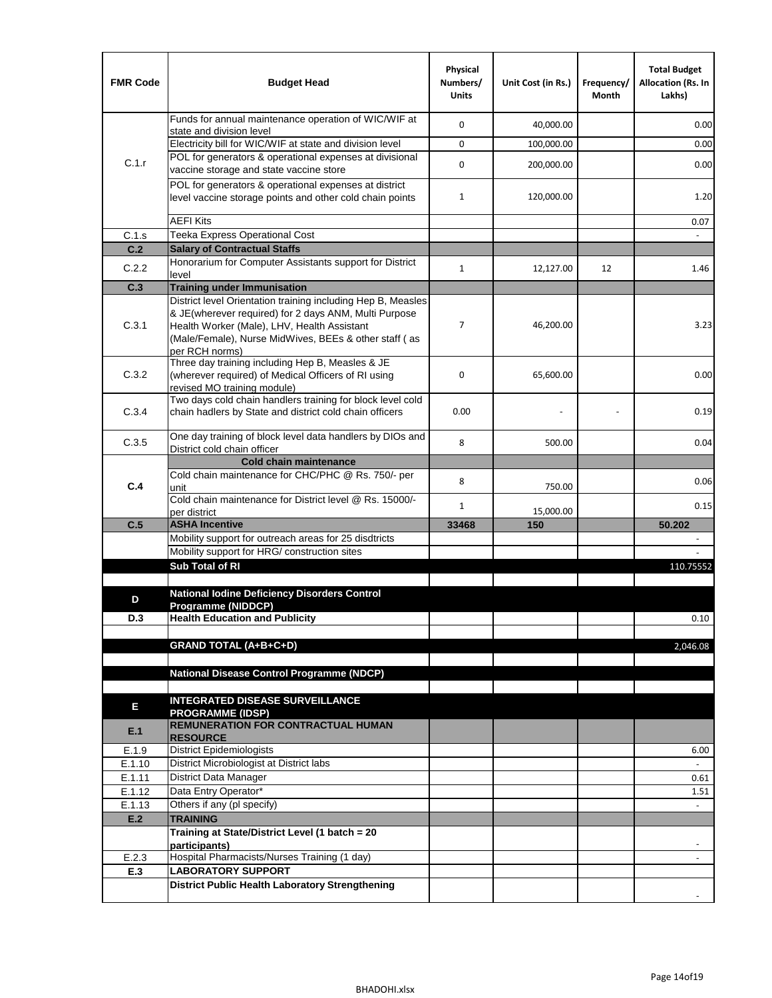| <b>FMR Code</b> | <b>Budget Head</b>                                                                                                                                                              | Physical<br>Numbers/<br><b>Units</b> | Unit Cost (in Rs.) | Frequency/<br>Month | <b>Total Budget</b><br><b>Allocation (Rs. In</b><br>Lakhs) |
|-----------------|---------------------------------------------------------------------------------------------------------------------------------------------------------------------------------|--------------------------------------|--------------------|---------------------|------------------------------------------------------------|
|                 | Funds for annual maintenance operation of WIC/WIF at                                                                                                                            | $\mathbf 0$                          | 40,000.00          |                     | 0.00                                                       |
|                 | state and division level<br>Electricity bill for WIC/WIF at state and division level                                                                                            | $\mathbf 0$                          | 100,000.00         |                     | 0.00                                                       |
| C.1.r           | POL for generators & operational expenses at divisional                                                                                                                         |                                      |                    |                     |                                                            |
|                 | vaccine storage and state vaccine store                                                                                                                                         | $\mathbf 0$                          | 200,000.00         |                     | 0.00                                                       |
|                 | POL for generators & operational expenses at district<br>level vaccine storage points and other cold chain points                                                               | $\mathbf{1}$                         | 120,000.00         |                     | 1.20                                                       |
|                 | <b>AEFI Kits</b>                                                                                                                                                                |                                      |                    |                     | 0.07                                                       |
| C.1.s           | Teeka Express Operational Cost                                                                                                                                                  |                                      |                    |                     |                                                            |
| C.2             | <b>Salary of Contractual Staffs</b>                                                                                                                                             |                                      |                    |                     |                                                            |
| C.2.2           | Honorarium for Computer Assistants support for District<br>level                                                                                                                | $\mathbf{1}$                         | 12,127.00          | 12                  | 1.46                                                       |
| C.3             | <b>Training under Immunisation</b>                                                                                                                                              |                                      |                    |                     |                                                            |
|                 | District level Orientation training including Hep B, Measles                                                                                                                    |                                      |                    |                     |                                                            |
| C.3.1           | & JE(wherever required) for 2 days ANM, Multi Purpose<br>Health Worker (Male), LHV, Health Assistant<br>(Male/Female), Nurse MidWives, BEEs & other staff (as<br>per RCH norms) | 7                                    | 46,200.00          |                     | 3.23                                                       |
| C.3.2           | Three day training including Hep B, Measles & JE<br>(wherever required) of Medical Officers of RI using<br>revised MO training module)                                          | $\mathbf 0$                          | 65,600.00          |                     | 0.00                                                       |
| C.3.4           | Two days cold chain handlers training for block level cold<br>chain hadlers by State and district cold chain officers                                                           | 0.00                                 |                    |                     | 0.19                                                       |
| C.3.5           | One day training of block level data handlers by DIOs and<br>District cold chain officer                                                                                        | 8                                    | 500.00             |                     | 0.04                                                       |
|                 | <b>Cold chain maintenance</b>                                                                                                                                                   |                                      |                    |                     |                                                            |
|                 | Cold chain maintenance for CHC/PHC @ Rs. 750/- per                                                                                                                              | 8                                    |                    |                     | 0.06                                                       |
| C.4             | unit                                                                                                                                                                            |                                      | 750.00             |                     |                                                            |
|                 | Cold chain maintenance for District level @ Rs. 15000/-<br>per district                                                                                                         | $\mathbf{1}$                         | 15,000.00          |                     | 0.15                                                       |
| C.5             | <b>ASHA Incentive</b>                                                                                                                                                           | 33468                                | 150                |                     | 50.202                                                     |
|                 | Mobility support for outreach areas for 25 disdtricts                                                                                                                           |                                      |                    |                     |                                                            |
|                 | Mobility support for HRG/ construction sites                                                                                                                                    |                                      |                    |                     |                                                            |
|                 | Sub Total of RI                                                                                                                                                                 |                                      |                    |                     | 110.75552                                                  |
|                 |                                                                                                                                                                                 |                                      |                    |                     |                                                            |
| D               | <b>National Iodine Deficiency Disorders Control</b><br>Programme (NIDDCP)                                                                                                       |                                      |                    |                     |                                                            |
| D.3             | <b>Health Education and Publicity</b>                                                                                                                                           |                                      |                    |                     | 0.10                                                       |
|                 |                                                                                                                                                                                 |                                      |                    |                     |                                                            |
|                 | <b>GRAND TOTAL (A+B+C+D)</b>                                                                                                                                                    |                                      |                    |                     | 2,046.08                                                   |
|                 |                                                                                                                                                                                 |                                      |                    |                     |                                                            |
|                 | National Disease Control Programme (NDCP)                                                                                                                                       |                                      |                    |                     |                                                            |
|                 | <b>INTEGRATED DISEASE SURVEILLANCE</b>                                                                                                                                          |                                      |                    |                     |                                                            |
| Е               | <b>PROGRAMME (IDSP)</b>                                                                                                                                                         |                                      |                    |                     |                                                            |
| E.1             | <b>REMUNERATION FOR CONTRACTUAL HUMAN</b><br><b>RESOURCE</b>                                                                                                                    |                                      |                    |                     |                                                            |
| E.1.9           | District Epidemiologists                                                                                                                                                        |                                      |                    |                     | 6.00                                                       |
| E.1.10          | District Microbiologist at District labs                                                                                                                                        |                                      |                    |                     |                                                            |
| E.1.11          | District Data Manager                                                                                                                                                           |                                      |                    |                     | 0.61                                                       |
| E.1.12          | Data Entry Operator*<br>Others if any (pl specify)                                                                                                                              |                                      |                    |                     | 1.51                                                       |
| E.1.13<br>E.2   | <b>TRAINING</b>                                                                                                                                                                 |                                      |                    |                     | $\omega$                                                   |
|                 | Training at State/District Level (1 batch = 20                                                                                                                                  |                                      |                    |                     |                                                            |
|                 | participants)                                                                                                                                                                   |                                      |                    |                     |                                                            |
| E.2.3           | Hospital Pharmacists/Nurses Training (1 day)                                                                                                                                    |                                      |                    |                     |                                                            |
| E.3             | <b>LABORATORY SUPPORT</b>                                                                                                                                                       |                                      |                    |                     |                                                            |
|                 | <b>District Public Health Laboratory Strengthening</b>                                                                                                                          |                                      |                    |                     |                                                            |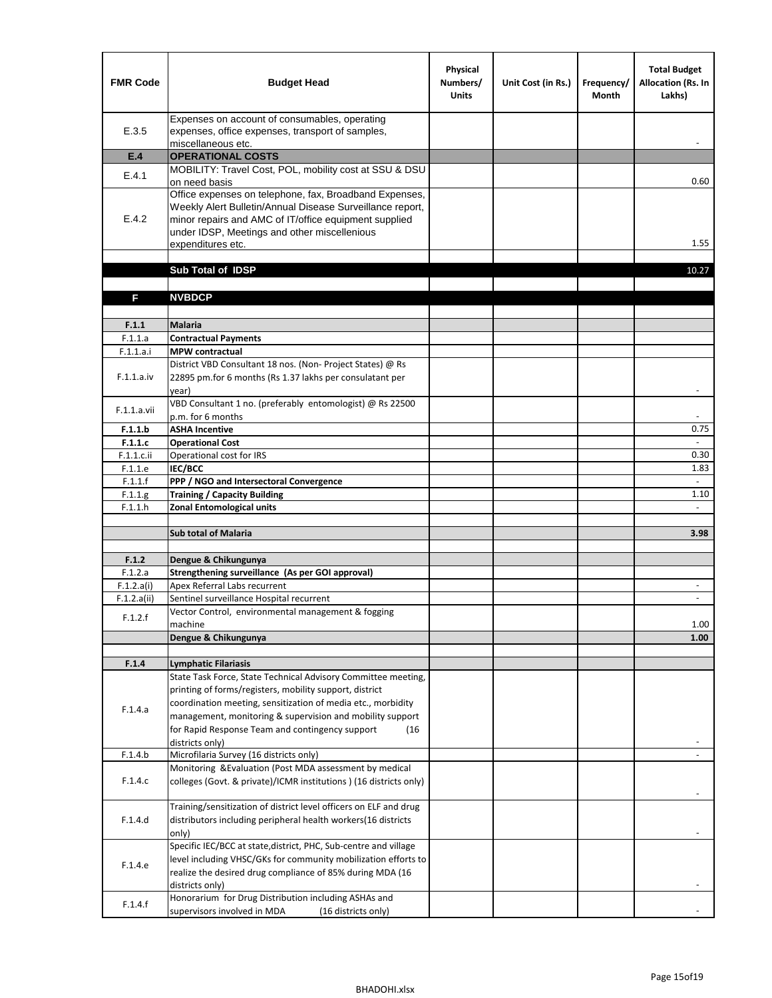| <b>FMR Code</b>       | <b>Budget Head</b>                                                                                                                                                                                                                                | Physical<br>Numbers/<br><b>Units</b> | Unit Cost (in Rs.) | Frequency/<br>Month | <b>Total Budget</b><br><b>Allocation (Rs. In</b><br>Lakhs) |
|-----------------------|---------------------------------------------------------------------------------------------------------------------------------------------------------------------------------------------------------------------------------------------------|--------------------------------------|--------------------|---------------------|------------------------------------------------------------|
| E.3.5                 | Expenses on account of consumables, operating<br>expenses, office expenses, transport of samples,<br>miscellaneous etc.                                                                                                                           |                                      |                    |                     |                                                            |
| E.4                   | <b>OPERATIONAL COSTS</b>                                                                                                                                                                                                                          |                                      |                    |                     |                                                            |
| E.4.1                 | MOBILITY: Travel Cost, POL, mobility cost at SSU & DSU                                                                                                                                                                                            |                                      |                    |                     |                                                            |
|                       | on need basis                                                                                                                                                                                                                                     |                                      |                    |                     | 0.60                                                       |
| E.4.2                 | Office expenses on telephone, fax, Broadband Expenses,<br>Weekly Alert Bulletin/Annual Disease Surveillance report,<br>minor repairs and AMC of IT/office equipment supplied<br>under IDSP, Meetings and other miscellenious<br>expenditures etc. |                                      |                    |                     | 1.55                                                       |
|                       | Sub Total of IDSP                                                                                                                                                                                                                                 |                                      |                    |                     | 10.27                                                      |
|                       |                                                                                                                                                                                                                                                   |                                      |                    |                     |                                                            |
| F                     | <b>NVBDCP</b>                                                                                                                                                                                                                                     |                                      |                    |                     |                                                            |
|                       |                                                                                                                                                                                                                                                   |                                      |                    |                     |                                                            |
| F.1.1                 | <b>Malaria</b>                                                                                                                                                                                                                                    |                                      |                    |                     |                                                            |
| F.1.1.a               | <b>Contractual Payments</b>                                                                                                                                                                                                                       |                                      |                    |                     |                                                            |
| F.1.1.a.i             | <b>MPW</b> contractual<br>District VBD Consultant 18 nos. (Non-Project States) @ Rs                                                                                                                                                               |                                      |                    |                     |                                                            |
| F.1.1.a.iv            | 22895 pm.for 6 months (Rs 1.37 lakhs per consulatant per<br>year)                                                                                                                                                                                 |                                      |                    |                     | $\overline{\phantom{a}}$                                   |
|                       | VBD Consultant 1 no. (preferably entomologist) @ Rs 22500                                                                                                                                                                                         |                                      |                    |                     |                                                            |
| F.1.1.a.vii           | p.m. for 6 months                                                                                                                                                                                                                                 |                                      |                    |                     |                                                            |
| F.1.1.b               | <b>ASHA Incentive</b>                                                                                                                                                                                                                             |                                      |                    |                     | 0.75                                                       |
| F.1.1.c               | <b>Operational Cost</b>                                                                                                                                                                                                                           |                                      |                    |                     |                                                            |
| F.1.1.c.ii            | Operational cost for IRS                                                                                                                                                                                                                          |                                      |                    |                     | 0.30                                                       |
| F.1.1.e<br>F.1.1.f    | <b>IEC/BCC</b><br>PPP / NGO and Intersectoral Convergence                                                                                                                                                                                         |                                      |                    |                     | 1.83<br>÷.                                                 |
| F.1.1.g               | <b>Training / Capacity Building</b>                                                                                                                                                                                                               |                                      |                    |                     | 1.10                                                       |
| F.1.1.h               | <b>Zonal Entomological units</b>                                                                                                                                                                                                                  |                                      |                    |                     | $\overline{a}$                                             |
|                       |                                                                                                                                                                                                                                                   |                                      |                    |                     |                                                            |
|                       | <b>Sub total of Malaria</b>                                                                                                                                                                                                                       |                                      |                    |                     | 3.98                                                       |
|                       |                                                                                                                                                                                                                                                   |                                      |                    |                     |                                                            |
| F.1.2                 | Dengue & Chikungunya                                                                                                                                                                                                                              |                                      |                    |                     |                                                            |
| F.1.2.a<br>F.1.2.a(i) | Strengthening surveillance (As per GOI approval)<br>Apex Referral Labs recurrent                                                                                                                                                                  |                                      |                    |                     |                                                            |
| F.1.2.a(ii)           | Sentinel surveillance Hospital recurrent                                                                                                                                                                                                          |                                      |                    |                     | $\blacksquare$                                             |
|                       | Vector Control, environmental management & fogging                                                                                                                                                                                                |                                      |                    |                     |                                                            |
| F.1.2.f               | machine                                                                                                                                                                                                                                           |                                      |                    |                     | 1.00                                                       |
|                       | Dengue & Chikungunya                                                                                                                                                                                                                              |                                      |                    |                     | 1.00                                                       |
|                       |                                                                                                                                                                                                                                                   |                                      |                    |                     |                                                            |
| F.1.4                 | <b>Lymphatic Filariasis</b><br>State Task Force, State Technical Advisory Committee meeting,                                                                                                                                                      |                                      |                    |                     |                                                            |
|                       | printing of forms/registers, mobility support, district                                                                                                                                                                                           |                                      |                    |                     |                                                            |
|                       | coordination meeting, sensitization of media etc., morbidity                                                                                                                                                                                      |                                      |                    |                     |                                                            |
| F.1.4.a               | management, monitoring & supervision and mobility support                                                                                                                                                                                         |                                      |                    |                     |                                                            |
|                       | for Rapid Response Team and contingency support<br>(16)                                                                                                                                                                                           |                                      |                    |                     |                                                            |
|                       | districts only)                                                                                                                                                                                                                                   |                                      |                    |                     |                                                            |
| F.1.4.b               | Microfilaria Survey (16 districts only)                                                                                                                                                                                                           |                                      |                    |                     |                                                            |
| F.1.4.c               | Monitoring & Evaluation (Post MDA assessment by medical<br>colleges (Govt. & private)/ICMR institutions ) (16 districts only)                                                                                                                     |                                      |                    |                     |                                                            |
|                       | Training/sensitization of district level officers on ELF and drug                                                                                                                                                                                 |                                      |                    |                     |                                                            |
| F.1.4.d               | distributors including peripheral health workers(16 districts                                                                                                                                                                                     |                                      |                    |                     |                                                            |
|                       | only)                                                                                                                                                                                                                                             |                                      |                    |                     |                                                            |
|                       | Specific IEC/BCC at state, district, PHC, Sub-centre and village                                                                                                                                                                                  |                                      |                    |                     |                                                            |
| F.1.4.e               | level including VHSC/GKs for community mobilization efforts to                                                                                                                                                                                    |                                      |                    |                     |                                                            |
|                       | realize the desired drug compliance of 85% during MDA (16                                                                                                                                                                                         |                                      |                    |                     |                                                            |
|                       | districts only)                                                                                                                                                                                                                                   |                                      |                    |                     |                                                            |
| F.1.4.f               | Honorarium for Drug Distribution including ASHAs and<br>supervisors involved in MDA<br>(16 districts only)                                                                                                                                        |                                      |                    |                     |                                                            |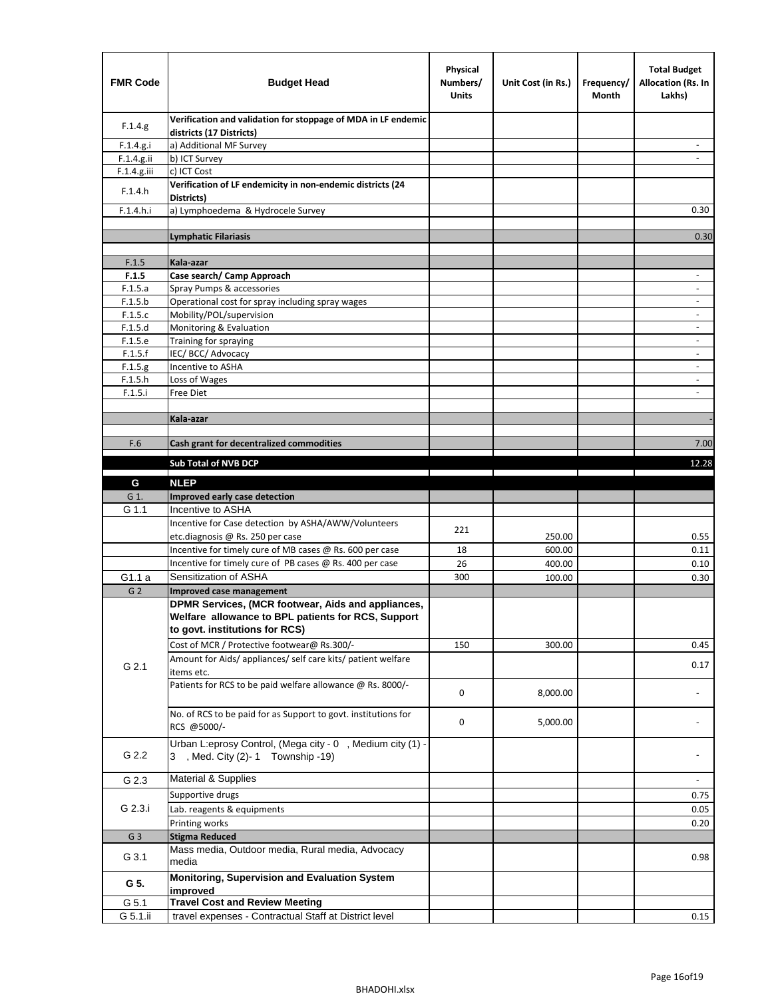| <b>FMR Code</b> | <b>Budget Head</b>                                                                                                                         | Physical<br>Numbers/<br><b>Units</b> | Unit Cost (in Rs.) | Frequency/<br>Month | <b>Total Budget</b><br><b>Allocation (Rs. In</b><br>Lakhs) |
|-----------------|--------------------------------------------------------------------------------------------------------------------------------------------|--------------------------------------|--------------------|---------------------|------------------------------------------------------------|
| F.1.4.g.        | Verification and validation for stoppage of MDA in LF endemic<br>districts (17 Districts)                                                  |                                      |                    |                     |                                                            |
| F.1.4.g.i       | a) Additional MF Survey                                                                                                                    |                                      |                    |                     |                                                            |
| F.1.4.g.ii      | b) ICT Survey                                                                                                                              |                                      |                    |                     |                                                            |
| $F.1.4.g.$ iii  | c) ICT Cost                                                                                                                                |                                      |                    |                     |                                                            |
| F.1.4.h         | Verification of LF endemicity in non-endemic districts (24<br>Districts)                                                                   |                                      |                    |                     |                                                            |
| F.1.4.h.i       | a) Lymphoedema & Hydrocele Survey                                                                                                          |                                      |                    |                     | 0.30                                                       |
|                 | Lymphatic Filariasis                                                                                                                       |                                      |                    |                     | 0.30                                                       |
|                 |                                                                                                                                            |                                      |                    |                     |                                                            |
| F.1.5           | Kala-azar                                                                                                                                  |                                      |                    |                     |                                                            |
| F.1.5           | Case search/ Camp Approach                                                                                                                 |                                      |                    |                     | $\overline{\phantom{a}}$                                   |
| F.1.5.a         | Spray Pumps & accessories                                                                                                                  |                                      |                    |                     | $\blacksquare$                                             |
| F.1.5.b         | Operational cost for spray including spray wages                                                                                           |                                      |                    |                     |                                                            |
| F.1.5.c         | Mobility/POL/supervision                                                                                                                   |                                      |                    |                     | $\overline{\phantom{a}}$                                   |
| F.1.5.d         | Monitoring & Evaluation                                                                                                                    |                                      |                    |                     |                                                            |
| F.1.5.e         | Training for spraying                                                                                                                      |                                      |                    |                     | $\blacksquare$                                             |
| F.1.5.f         | IEC/BCC/Advocacy                                                                                                                           |                                      |                    |                     | $\overline{a}$                                             |
| F.1.5.g         | Incentive to ASHA                                                                                                                          |                                      |                    |                     | $\overline{\phantom{a}}$                                   |
| F.1.5.h         | Loss of Wages                                                                                                                              |                                      |                    |                     | $\qquad \qquad \blacksquare$                               |
| F.1.5.i         | Free Diet                                                                                                                                  |                                      |                    |                     |                                                            |
|                 |                                                                                                                                            |                                      |                    |                     |                                                            |
|                 | Kala-azar                                                                                                                                  |                                      |                    |                     |                                                            |
| F.6             | Cash grant for decentralized commodities                                                                                                   |                                      |                    |                     | 7.00                                                       |
|                 |                                                                                                                                            |                                      |                    |                     |                                                            |
|                 | <b>Sub Total of NVB DCP</b>                                                                                                                |                                      |                    |                     | 12.28                                                      |
| G               | <b>NLEP</b>                                                                                                                                |                                      |                    |                     |                                                            |
| G 1.            | Improved early case detection                                                                                                              |                                      |                    |                     |                                                            |
| G 1.1           | Incentive to ASHA                                                                                                                          |                                      |                    |                     |                                                            |
|                 | Incentive for Case detection by ASHA/AWW/Volunteers                                                                                        | 221                                  |                    |                     |                                                            |
|                 | etc.diagnosis @ Rs. 250 per case                                                                                                           |                                      | 250.00             |                     | 0.55                                                       |
|                 | Incentive for timely cure of MB cases @ Rs. 600 per case                                                                                   | 18                                   | 600.00             |                     | 0.11                                                       |
|                 | Incentive for timely cure of PB cases @ Rs. 400 per case                                                                                   | 26                                   | 400.00             |                     | 0.10                                                       |
| G1.1 a          | Sensitization of ASHA                                                                                                                      | 300                                  | 100.00             |                     | 0.30                                                       |
| G <sub>2</sub>  | <b>Improved case management</b>                                                                                                            |                                      |                    |                     |                                                            |
|                 | DPMR Services, (MCR footwear, Aids and appliances,<br>Welfare allowance to BPL patients for RCS, Support<br>to govt. institutions for RCS) |                                      |                    |                     |                                                            |
|                 | Cost of MCR / Protective footwear@ Rs.300/-                                                                                                | 150                                  | 300.00             |                     | 0.45                                                       |
| G 2.1           | Amount for Aids/ appliances/ self care kits/ patient welfare<br>items etc.                                                                 |                                      |                    |                     | 0.17                                                       |
|                 | Patients for RCS to be paid welfare allowance @ Rs. 8000/-                                                                                 | 0                                    | 8,000.00           |                     |                                                            |
|                 | No. of RCS to be paid for as Support to govt. institutions for<br>RCS @5000/-                                                              | 0                                    | 5,000.00           |                     |                                                            |
| G 2.2           | Urban L:eprosy Control, (Mega city - 0, Medium city (1) -<br>3 , Med. City (2)-1 Township -19)                                             |                                      |                    |                     |                                                            |
| G 2.3           | Material & Supplies                                                                                                                        |                                      |                    |                     | $\blacksquare$                                             |
|                 | Supportive drugs                                                                                                                           |                                      |                    |                     | 0.75                                                       |
| G 2.3.i         | Lab. reagents & equipments                                                                                                                 |                                      |                    |                     | 0.05                                                       |
|                 | Printing works                                                                                                                             |                                      |                    |                     | 0.20                                                       |
| G <sub>3</sub>  | <b>Stigma Reduced</b>                                                                                                                      |                                      |                    |                     |                                                            |
|                 | Mass media, Outdoor media, Rural media, Advocacy                                                                                           |                                      |                    |                     |                                                            |
| G 3.1           | media<br>Monitoring, Supervision and Evaluation System                                                                                     |                                      |                    |                     | 0.98                                                       |
| G 5.            | improved<br><b>Travel Cost and Review Meeting</b>                                                                                          |                                      |                    |                     |                                                            |
| G 5.1           |                                                                                                                                            |                                      |                    |                     |                                                            |
| G 5.1.ii        | travel expenses - Contractual Staff at District level                                                                                      |                                      |                    |                     | 0.15                                                       |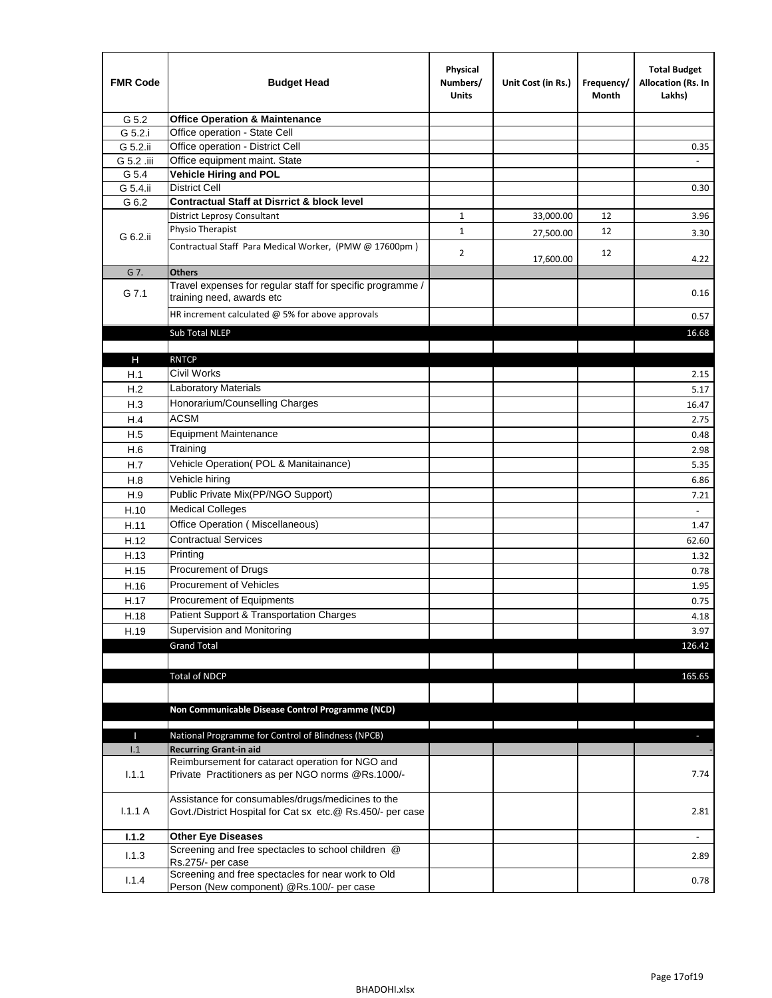| <b>FMR Code</b> | <b>Budget Head</b>                                                                                              | Physical<br>Numbers/<br><b>Units</b> | Unit Cost (in Rs.) | Frequency/<br>Month | <b>Total Budget</b><br>Allocation (Rs. In<br>Lakhs) |
|-----------------|-----------------------------------------------------------------------------------------------------------------|--------------------------------------|--------------------|---------------------|-----------------------------------------------------|
| G 5.2           | <b>Office Operation &amp; Maintenance</b>                                                                       |                                      |                    |                     |                                                     |
| G 5.2.i         | Office operation - State Cell                                                                                   |                                      |                    |                     |                                                     |
| G 5.2.ii        | Office operation - District Cell                                                                                |                                      |                    |                     | 0.35                                                |
| G 5.2 .iii      | Office equipment maint. State                                                                                   |                                      |                    |                     |                                                     |
| G 5.4           | Vehicle Hiring and POL                                                                                          |                                      |                    |                     |                                                     |
| G 5.4.ii        | <b>District Cell</b>                                                                                            |                                      |                    |                     | 0.30                                                |
| G 6.2           | <b>Contractual Staff at Disrrict &amp; block level</b>                                                          |                                      |                    |                     |                                                     |
|                 | <b>District Leprosy Consultant</b>                                                                              | 1                                    | 33,000.00          | 12                  | 3.96                                                |
| G 6.2.ii        | Physio Therapist                                                                                                | $\mathbf{1}$                         | 27,500.00          | 12                  | 3.30                                                |
|                 | Contractual Staff Para Medical Worker, (PMW @ 17600pm)                                                          | $\overline{2}$                       | 17,600.00          | 12                  | 4.22                                                |
| G 7.            | <b>Others</b>                                                                                                   |                                      |                    |                     |                                                     |
| G 7.1           | Travel expenses for regular staff for specific programme /<br>training need, awards etc                         |                                      |                    |                     | 0.16                                                |
|                 | HR increment calculated $\omega$ 5% for above approvals                                                         |                                      |                    |                     | 0.57                                                |
|                 | Sub Total NLEP                                                                                                  |                                      |                    |                     | 16.68                                               |
|                 |                                                                                                                 |                                      |                    |                     |                                                     |
| Н               | <b>RNTCP</b>                                                                                                    |                                      |                    |                     |                                                     |
| H.1             | Civil Works                                                                                                     |                                      |                    |                     | 2.15                                                |
| H.2             | Laboratory Materials                                                                                            |                                      |                    |                     | 5.17                                                |
| H.3             | Honorarium/Counselling Charges                                                                                  |                                      |                    |                     | 16.47                                               |
| H.4             | <b>ACSM</b>                                                                                                     |                                      |                    |                     | 2.75                                                |
| H.5             | <b>Equipment Maintenance</b>                                                                                    |                                      |                    |                     | 0.48                                                |
| H.6             | Training                                                                                                        |                                      |                    |                     | 2.98                                                |
| H.7             | Vehicle Operation(POL & Manitainance)                                                                           |                                      |                    |                     | 5.35                                                |
| H.8             | Vehicle hiring                                                                                                  |                                      |                    |                     | 6.86                                                |
| H.9             | Public Private Mix(PP/NGO Support)                                                                              |                                      |                    |                     | 7.21                                                |
| H.10            | <b>Medical Colleges</b>                                                                                         |                                      |                    |                     | $\blacksquare$                                      |
| H.11            | Office Operation (Miscellaneous)                                                                                |                                      |                    |                     | 1.47                                                |
| H.12            | <b>Contractual Services</b>                                                                                     |                                      |                    |                     | 62.60                                               |
| H.13            | Printing                                                                                                        |                                      |                    |                     | 1.32                                                |
| H.15            | Procurement of Drugs                                                                                            |                                      |                    |                     | 0.78                                                |
| H.16            | Procurement of Vehicles                                                                                         |                                      |                    |                     | 1.95                                                |
| H.17            | Procurement of Equipments                                                                                       |                                      |                    |                     | 0.75                                                |
| H.18            | Patient Support & Transportation Charges                                                                        |                                      |                    |                     | 4.18                                                |
| H.19            | Supervision and Monitoring                                                                                      |                                      |                    |                     | 3.97                                                |
|                 | <b>Grand Total</b>                                                                                              |                                      |                    |                     | 126.42                                              |
|                 |                                                                                                                 |                                      |                    |                     |                                                     |
|                 | <b>Total of NDCP</b>                                                                                            |                                      |                    |                     | 165.65                                              |
|                 | Non Communicable Disease Control Programme (NCD)                                                                |                                      |                    |                     |                                                     |
| Т               | National Programme for Control of Blindness (NPCB)                                                              |                                      |                    |                     | ÷.                                                  |
| 1.1             | <b>Recurring Grant-in aid</b>                                                                                   |                                      |                    |                     |                                                     |
| 1.1.1           | Reimbursement for cataract operation for NGO and<br>Private Practitioners as per NGO norms @Rs.1000/-           |                                      |                    |                     | 7.74                                                |
| 1.1.1A          | Assistance for consumables/drugs/medicines to the<br>Govt./District Hospital for Cat sx etc.@ Rs.450/- per case |                                      |                    |                     | 2.81                                                |
|                 |                                                                                                                 |                                      |                    |                     |                                                     |
| 1.1.2           | <b>Other Eye Diseases</b><br>Screening and free spectacles to school children @                                 |                                      |                    |                     |                                                     |
| 1.1.3           | Rs.275/- per case                                                                                               |                                      |                    |                     | 2.89                                                |
| 1.1.4           | Screening and free spectacles for near work to Old<br>Person (New component) @Rs.100/- per case                 |                                      |                    |                     | 0.78                                                |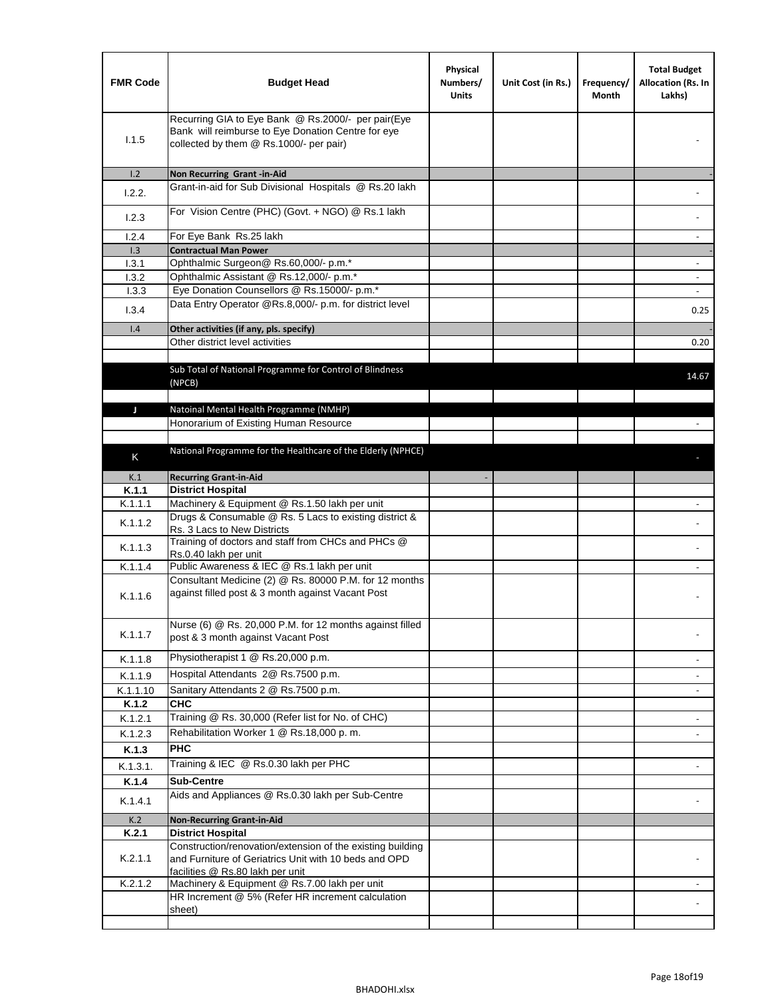| <b>FMR Code</b> | <b>Budget Head</b>                                                                                                                                      | Physical<br>Numbers/<br><b>Units</b> | Unit Cost (in Rs.) | Frequency/<br>Month | <b>Total Budget</b><br>Allocation (Rs. In<br>Lakhs) |
|-----------------|---------------------------------------------------------------------------------------------------------------------------------------------------------|--------------------------------------|--------------------|---------------------|-----------------------------------------------------|
| 1.1.5           | Recurring GIA to Eye Bank @ Rs.2000/- per pair(Eye<br>Bank will reimburse to Eye Donation Centre for eye<br>collected by them @ Rs.1000/- per pair)     |                                      |                    |                     |                                                     |
| 1.2             | Non Recurring Grant -in-Aid                                                                                                                             |                                      |                    |                     |                                                     |
| 1.2.2.          | Grant-in-aid for Sub Divisional Hospitals @ Rs.20 lakh                                                                                                  |                                      |                    |                     |                                                     |
| 1.2.3           | For Vision Centre (PHC) (Govt. + NGO) @ Rs.1 lakh                                                                                                       |                                      |                    |                     |                                                     |
| 1.2.4           | For Eye Bank Rs.25 lakh                                                                                                                                 |                                      |                    |                     | ÷.                                                  |
| 1.3             | <b>Contractual Man Power</b>                                                                                                                            |                                      |                    |                     |                                                     |
| 1.3.1           | Ophthalmic Surgeon@ Rs.60,000/- p.m.*                                                                                                                   |                                      |                    |                     | $\overline{\phantom{a}}$                            |
| 1.3.2           | Ophthalmic Assistant @ Rs.12,000/- p.m.*                                                                                                                |                                      |                    |                     |                                                     |
| 1.3.3           | Eye Donation Counsellors @ Rs.15000/- p.m.*                                                                                                             |                                      |                    |                     | $\overline{\phantom{a}}$                            |
| 1.3.4           | Data Entry Operator @Rs.8,000/- p.m. for district level                                                                                                 |                                      |                    |                     | 0.25                                                |
| 1.4             | Other activities (if any, pls. specify)                                                                                                                 |                                      |                    |                     |                                                     |
|                 | Other district level activities                                                                                                                         |                                      |                    |                     | 0.20                                                |
|                 | Sub Total of National Programme for Control of Blindness<br>(NPCB)                                                                                      |                                      |                    |                     | 14.67                                               |
|                 |                                                                                                                                                         |                                      |                    |                     |                                                     |
| J               | Natoinal Mental Health Programme (NMHP)<br>Honorarium of Existing Human Resource                                                                        |                                      |                    |                     |                                                     |
|                 |                                                                                                                                                         |                                      |                    |                     |                                                     |
|                 | National Programme for the Healthcare of the Elderly (NPHCE)                                                                                            |                                      |                    |                     |                                                     |
| K               |                                                                                                                                                         |                                      |                    |                     |                                                     |
| K.1             | <b>Recurring Grant-in-Aid</b>                                                                                                                           |                                      |                    |                     |                                                     |
| K.1.1           | <b>District Hospital</b>                                                                                                                                |                                      |                    |                     |                                                     |
| K.1.1.1         | Machinery & Equipment @ Rs.1.50 lakh per unit                                                                                                           |                                      |                    |                     |                                                     |
| K.1.1.2         | Drugs & Consumable @ Rs. 5 Lacs to existing district &<br>Rs. 3 Lacs to New Districts                                                                   |                                      |                    |                     |                                                     |
| K.1.1.3         | Training of doctors and staff from CHCs and PHCs @<br>Rs.0.40 lakh per unit                                                                             |                                      |                    |                     |                                                     |
| K.1.1.4         | Public Awareness & IEC @ Rs.1 lakh per unit                                                                                                             |                                      |                    |                     |                                                     |
| K.1.1.6         | Consultant Medicine (2) @ Rs. 80000 P.M. for 12 months<br>against filled post & 3 month against Vacant Post                                             |                                      |                    |                     |                                                     |
| K.1.1.7         | Nurse (6) @ Rs. 20,000 P.M. for 12 months against filled<br>post & 3 month against Vacant Post                                                          |                                      |                    |                     |                                                     |
| K.1.1.8         | Physiotherapist 1 @ Rs.20,000 p.m.                                                                                                                      |                                      |                    |                     |                                                     |
| K.1.1.9         | Hospital Attendants 2@ Rs.7500 p.m.                                                                                                                     |                                      |                    |                     |                                                     |
| K.1.1.10        | Sanitary Attendants 2 @ Rs.7500 p.m.                                                                                                                    |                                      |                    |                     | $\overline{\phantom{a}}$                            |
| K.1.2           | <b>CHC</b>                                                                                                                                              |                                      |                    |                     |                                                     |
| K.1.2.1         | Training @ Rs. 30,000 (Refer list for No. of CHC)                                                                                                       |                                      |                    |                     |                                                     |
| K.1.2.3         | Rehabilitation Worker 1 @ Rs.18,000 p.m.                                                                                                                |                                      |                    |                     |                                                     |
| K.1.3           | <b>PHC</b>                                                                                                                                              |                                      |                    |                     |                                                     |
| K.1.3.1.        | Training & IEC @ Rs.0.30 lakh per PHC                                                                                                                   |                                      |                    |                     |                                                     |
| K.1.4           | <b>Sub-Centre</b>                                                                                                                                       |                                      |                    |                     |                                                     |
|                 | Aids and Appliances @ Rs.0.30 lakh per Sub-Centre                                                                                                       |                                      |                    |                     |                                                     |
| K.1.4.1         |                                                                                                                                                         |                                      |                    |                     |                                                     |
| K.2             | <b>Non-Recurring Grant-in-Aid</b>                                                                                                                       |                                      |                    |                     |                                                     |
| K.2.1           | <b>District Hospital</b>                                                                                                                                |                                      |                    |                     |                                                     |
| K.2.1.1         | Construction/renovation/extension of the existing building<br>and Furniture of Geriatrics Unit with 10 beds and OPD<br>facilities @ Rs.80 lakh per unit |                                      |                    |                     |                                                     |
| K.2.1.2         | Machinery & Equipment @ Rs.7.00 lakh per unit                                                                                                           |                                      |                    |                     |                                                     |
|                 | HR Increment @ 5% (Refer HR increment calculation                                                                                                       |                                      |                    |                     |                                                     |
|                 | sheet)                                                                                                                                                  |                                      |                    |                     |                                                     |
|                 |                                                                                                                                                         |                                      |                    |                     |                                                     |